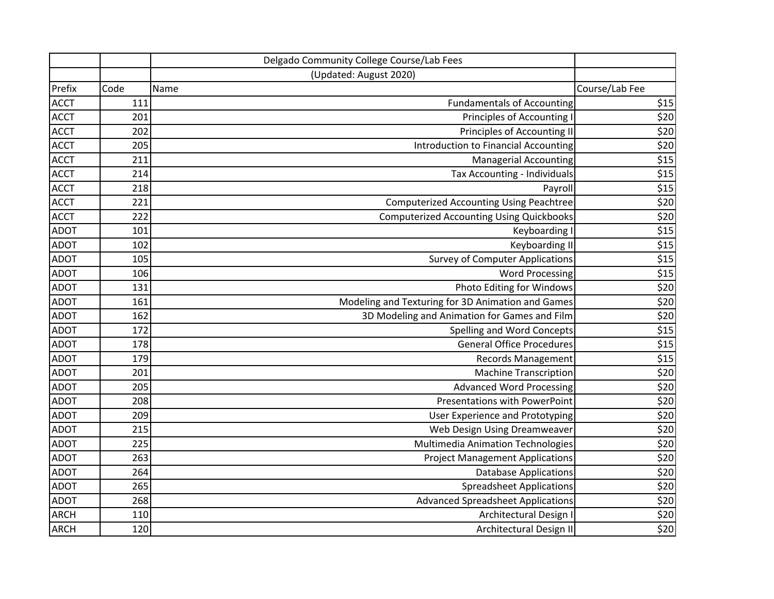|             |      | Delgado Community College Course/Lab Fees         |                |
|-------------|------|---------------------------------------------------|----------------|
|             |      | (Updated: August 2020)                            |                |
| Prefix      | Code | Name                                              | Course/Lab Fee |
| <b>ACCT</b> | 111  | <b>Fundamentals of Accounting</b>                 | \$15           |
| <b>ACCT</b> | 201  | Principles of Accounting I                        | \$20           |
| <b>ACCT</b> | 202  | Principles of Accounting II                       | \$20           |
| <b>ACCT</b> | 205  | Introduction to Financial Accounting              | \$20           |
| <b>ACCT</b> | 211  | <b>Managerial Accounting</b>                      | \$15           |
| <b>ACCT</b> | 214  | Tax Accounting - Individuals                      | \$15           |
| <b>ACCT</b> | 218  | Payroll                                           | \$15           |
| <b>ACCT</b> | 221  | <b>Computerized Accounting Using Peachtree</b>    | \$20           |
| <b>ACCT</b> | 222  | <b>Computerized Accounting Using Quickbooks</b>   | \$20           |
| <b>ADOT</b> | 101  | Keyboarding I                                     | \$15           |
| <b>ADOT</b> | 102  | Keyboarding II                                    | \$15           |
| <b>ADOT</b> | 105  | <b>Survey of Computer Applications</b>            | \$15           |
| <b>ADOT</b> | 106  | <b>Word Processing</b>                            | \$15           |
| <b>ADOT</b> | 131  | Photo Editing for Windows                         | \$20           |
| <b>ADOT</b> | 161  | Modeling and Texturing for 3D Animation and Games | \$20           |
| <b>ADOT</b> | 162  | 3D Modeling and Animation for Games and Film      | \$20           |
| <b>ADOT</b> | 172  | Spelling and Word Concepts                        | \$15           |
| <b>ADOT</b> | 178  | <b>General Office Procedures</b>                  | \$15           |
| <b>ADOT</b> | 179  | <b>Records Management</b>                         | \$15           |
| <b>ADOT</b> | 201  | <b>Machine Transcription</b>                      | \$20           |
| <b>ADOT</b> | 205  | <b>Advanced Word Processing</b>                   | \$20           |
| <b>ADOT</b> | 208  | <b>Presentations with PowerPoint</b>              | \$20           |
| <b>ADOT</b> | 209  | User Experience and Prototyping                   | \$20           |
| <b>ADOT</b> | 215  | Web Design Using Dreamweaver                      | \$20           |
| <b>ADOT</b> | 225  | Multimedia Animation Technologies                 | \$20           |
| <b>ADOT</b> | 263  | <b>Project Management Applications</b>            | \$20           |
| <b>ADOT</b> | 264  | <b>Database Applications</b>                      | \$20           |
| <b>ADOT</b> | 265  | <b>Spreadsheet Applications</b>                   | \$20           |
| <b>ADOT</b> | 268  | <b>Advanced Spreadsheet Applications</b>          | \$20           |
| <b>ARCH</b> | 110  | Architectural Design I                            | \$20           |
| <b>ARCH</b> | 120  | Architectural Design II                           | \$20           |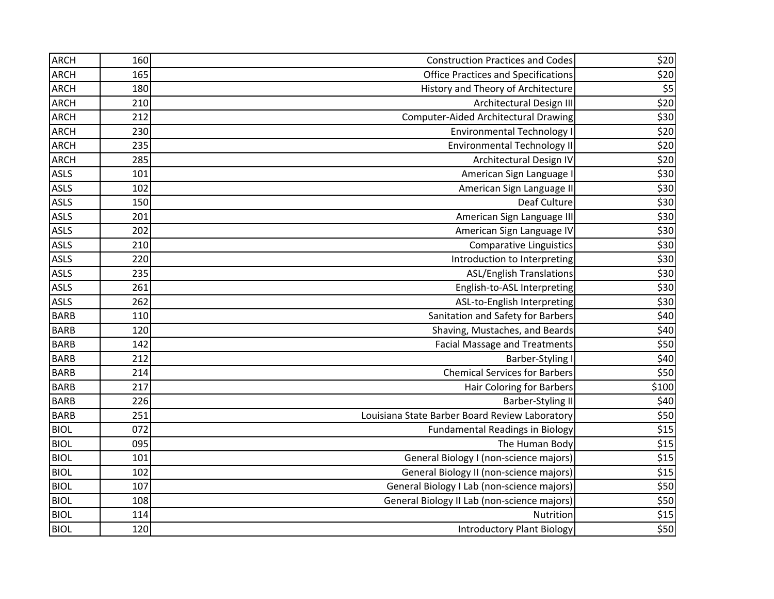| <b>ARCH</b> | 160 | <b>Construction Practices and Codes</b>        | \$20  |
|-------------|-----|------------------------------------------------|-------|
| <b>ARCH</b> | 165 | <b>Office Practices and Specifications</b>     | \$20  |
| <b>ARCH</b> | 180 | History and Theory of Architecture             | \$5   |
| <b>ARCH</b> | 210 | Architectural Design III                       | \$20  |
| <b>ARCH</b> | 212 | <b>Computer-Aided Architectural Drawing</b>    | \$30  |
| <b>ARCH</b> | 230 | <b>Environmental Technology I</b>              | \$20  |
| <b>ARCH</b> | 235 | <b>Environmental Technology II</b>             | \$20  |
| <b>ARCH</b> | 285 | Architectural Design IV                        | \$20  |
| <b>ASLS</b> | 101 | American Sign Language I                       | \$30  |
| ASLS        | 102 | American Sign Language II                      | \$30  |
| ASLS        | 150 | Deaf Culture                                   | \$30  |
| ASLS        | 201 | American Sign Language III                     | \$30  |
| <b>ASLS</b> | 202 | American Sign Language IV                      | \$30  |
| <b>ASLS</b> | 210 | <b>Comparative Linguistics</b>                 | \$30  |
| <b>ASLS</b> | 220 | Introduction to Interpreting                   | \$30  |
| <b>ASLS</b> | 235 | <b>ASL/English Translations</b>                | \$30  |
| <b>ASLS</b> | 261 | English-to-ASL Interpreting                    | \$30  |
| <b>ASLS</b> | 262 | ASL-to-English Interpreting                    | \$30  |
| <b>BARB</b> | 110 | Sanitation and Safety for Barbers              | \$40  |
| <b>BARB</b> | 120 | Shaving, Mustaches, and Beards                 | \$40  |
| <b>BARB</b> | 142 | <b>Facial Massage and Treatments</b>           | \$50  |
| <b>BARB</b> | 212 | <b>Barber-Styling I</b>                        | \$40  |
| <b>BARB</b> | 214 | <b>Chemical Services for Barbers</b>           | \$50  |
| <b>BARB</b> | 217 | <b>Hair Coloring for Barbers</b>               | \$100 |
| <b>BARB</b> | 226 | <b>Barber-Styling II</b>                       | \$40  |
| <b>BARB</b> | 251 | Louisiana State Barber Board Review Laboratory | \$50  |
| <b>BIOL</b> | 072 | <b>Fundamental Readings in Biology</b>         | \$15  |
| <b>BIOL</b> | 095 | The Human Body                                 | $$15$ |
| <b>BIOL</b> | 101 | General Biology I (non-science majors)         | \$15  |
| <b>BIOL</b> | 102 | General Biology II (non-science majors)        | \$15  |
| <b>BIOL</b> | 107 | General Biology I Lab (non-science majors)     | \$50  |
| <b>BIOL</b> | 108 | General Biology II Lab (non-science majors)    | \$50  |
| <b>BIOL</b> | 114 | Nutrition                                      | $$15$ |
| <b>BIOL</b> | 120 | <b>Introductory Plant Biology</b>              | \$50  |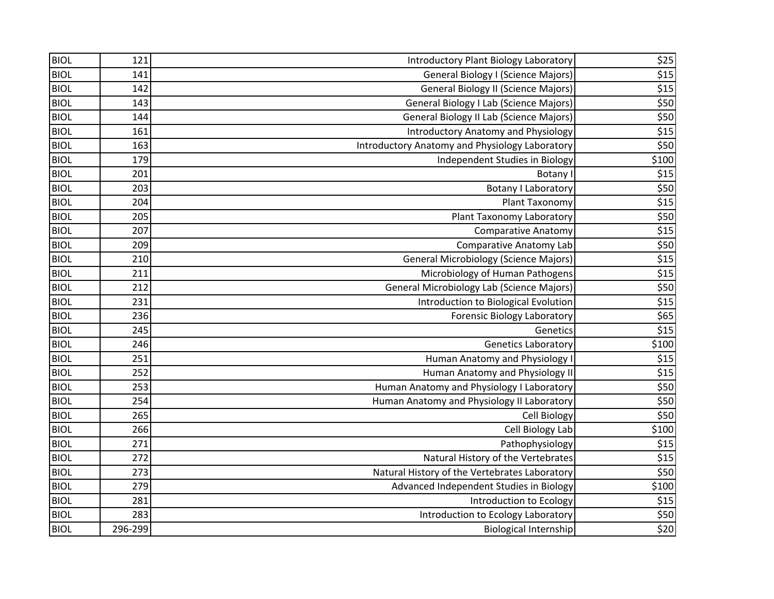| <b>BIOL</b> | 121     | Introductory Plant Biology Laboratory            | \$25  |
|-------------|---------|--------------------------------------------------|-------|
| <b>BIOL</b> | 141     | General Biology I (Science Majors)               | \$15  |
| <b>BIOL</b> | 142     | <b>General Biology II (Science Majors)</b>       | \$15  |
| <b>BIOL</b> | 143     | <b>General Biology I Lab (Science Majors)</b>    | \$50  |
| <b>BIOL</b> | 144     | <b>General Biology II Lab (Science Majors)</b>   | \$50  |
| <b>BIOL</b> | 161     | <b>Introductory Anatomy and Physiology</b>       | \$15  |
| <b>BIOL</b> | 163     | Introductory Anatomy and Physiology Laboratory   | \$50  |
| <b>BIOL</b> | 179     | Independent Studies in Biology                   | \$100 |
| <b>BIOL</b> | 201     | Botany I                                         | \$15  |
| <b>BIOL</b> | 203     | <b>Botany I Laboratory</b>                       | \$50  |
| <b>BIOL</b> | 204     | Plant Taxonomy                                   | \$15  |
| <b>BIOL</b> | 205     | Plant Taxonomy Laboratory                        | \$50  |
| <b>BIOL</b> | 207     | <b>Comparative Anatomy</b>                       | \$15  |
| <b>BIOL</b> | 209     | <b>Comparative Anatomy Lab</b>                   | \$50  |
| <b>BIOL</b> | 210     | <b>General Microbiology (Science Majors)</b>     | \$15  |
| <b>BIOL</b> | 211     | Microbiology of Human Pathogens                  | \$15  |
| <b>BIOL</b> | 212     | <b>General Microbiology Lab (Science Majors)</b> | \$50  |
| <b>BIOL</b> | 231     | Introduction to Biological Evolution             | $$15$ |
| <b>BIOL</b> | 236     | <b>Forensic Biology Laboratory</b>               | \$65  |
| <b>BIOL</b> | 245     | Genetics                                         | \$15  |
| <b>BIOL</b> | 246     | <b>Genetics Laboratory</b>                       | \$100 |
| <b>BIOL</b> | 251     | Human Anatomy and Physiology I                   | \$15  |
| <b>BIOL</b> | 252     | Human Anatomy and Physiology II                  | \$15  |
| <b>BIOL</b> | 253     | Human Anatomy and Physiology I Laboratory        | \$50  |
| <b>BIOL</b> | 254     | Human Anatomy and Physiology II Laboratory       | \$50  |
| <b>BIOL</b> | 265     | Cell Biology                                     | \$50  |
| <b>BIOL</b> | 266     | Cell Biology Lab                                 | \$100 |
| <b>BIOL</b> | 271     | Pathophysiology                                  | \$15  |
| <b>BIOL</b> | 272     | Natural History of the Vertebrates               | \$15  |
| <b>BIOL</b> | 273     | Natural History of the Vertebrates Laboratory    | \$50  |
| <b>BIOL</b> | 279     | Advanced Independent Studies in Biology          | \$100 |
| <b>BIOL</b> | 281     | Introduction to Ecology                          | \$15  |
| <b>BIOL</b> | 283     | Introduction to Ecology Laboratory               | \$50  |
| <b>BIOL</b> | 296-299 | <b>Biological Internship</b>                     | \$20  |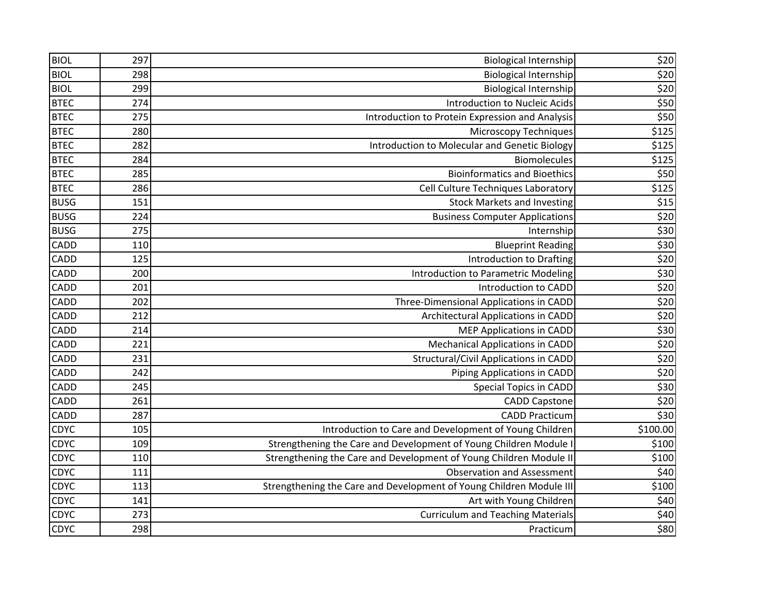| <b>BIOL</b> | 297 | <b>Biological Internship</b>                                        | \$20     |
|-------------|-----|---------------------------------------------------------------------|----------|
| <b>BIOL</b> | 298 | Biological Internship                                               | \$20     |
| <b>BIOL</b> | 299 | <b>Biological Internship</b>                                        | \$20     |
| <b>BTEC</b> | 274 | Introduction to Nucleic Acids                                       | \$50     |
| <b>BTEC</b> | 275 | Introduction to Protein Expression and Analysis                     | \$50     |
| <b>BTEC</b> | 280 | <b>Microscopy Techniques</b>                                        | \$125    |
| <b>BTEC</b> | 282 | Introduction to Molecular and Genetic Biology                       | \$125    |
| <b>BTEC</b> | 284 | <b>Biomolecules</b>                                                 | \$125    |
| <b>BTEC</b> | 285 | <b>Bioinformatics and Bioethics</b>                                 | \$50     |
| <b>BTEC</b> | 286 | Cell Culture Techniques Laboratory                                  | \$125    |
| <b>BUSG</b> | 151 | <b>Stock Markets and Investing</b>                                  | \$15     |
| <b>BUSG</b> | 224 | <b>Business Computer Applications</b>                               | \$20     |
| <b>BUSG</b> | 275 | Internship                                                          | \$30     |
| <b>CADD</b> | 110 | <b>Blueprint Reading</b>                                            | \$30     |
| CADD        | 125 | Introduction to Drafting                                            | \$20     |
| CADD        | 200 | <b>Introduction to Parametric Modeling</b>                          | \$30     |
| CADD        | 201 | Introduction to CADD                                                | \$20     |
| CADD        | 202 | Three-Dimensional Applications in CADD                              | \$20     |
| <b>CADD</b> | 212 | Architectural Applications in CADD                                  | \$20     |
| <b>CADD</b> | 214 | <b>MEP Applications in CADD</b>                                     | \$30     |
| CADD        | 221 | <b>Mechanical Applications in CADD</b>                              | \$20     |
| CADD        | 231 | Structural/Civil Applications in CADD                               | \$20     |
| CADD        | 242 | Piping Applications in CADD                                         | \$20     |
| CADD        | 245 | <b>Special Topics in CADD</b>                                       | \$30     |
| CADD        | 261 | <b>CADD Capstone</b>                                                | \$20     |
| CADD        | 287 | <b>CADD Practicum</b>                                               | \$30     |
| CDYC        | 105 | Introduction to Care and Development of Young Children              | \$100.00 |
| <b>CDYC</b> | 109 | Strengthening the Care and Development of Young Children Module I   | \$100    |
| CDYC        | 110 | Strengthening the Care and Development of Young Children Module II  | \$100    |
| <b>CDYC</b> | 111 | <b>Observation and Assessment</b>                                   | \$40     |
| <b>CDYC</b> | 113 | Strengthening the Care and Development of Young Children Module III | \$100    |
| CDYC        | 141 | Art with Young Children                                             | \$40     |
| <b>CDYC</b> | 273 | <b>Curriculum and Teaching Materials</b>                            | \$40     |
| <b>CDYC</b> | 298 | Practicum                                                           | \$80     |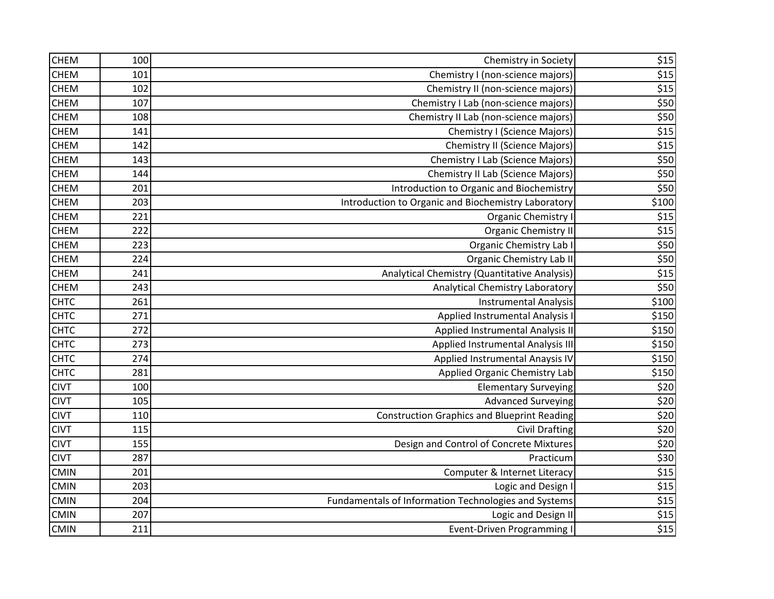| <b>CHEM</b> | 100 | Chemistry in Society                                 | \$15                |
|-------------|-----|------------------------------------------------------|---------------------|
| <b>CHEM</b> | 101 | Chemistry I (non-science majors)                     | \$15                |
| <b>CHEM</b> | 102 | Chemistry II (non-science majors)                    | \$15                |
| <b>CHEM</b> | 107 | Chemistry I Lab (non-science majors)                 | \$50                |
| <b>CHEM</b> | 108 | Chemistry II Lab (non-science majors)                | \$50                |
| <b>CHEM</b> | 141 | <b>Chemistry I (Science Majors)</b>                  | \$15                |
| <b>CHEM</b> | 142 | <b>Chemistry II (Science Majors)</b>                 | $$15$               |
| CHEM        | 143 | Chemistry I Lab (Science Majors)                     | \$50                |
| <b>CHEM</b> | 144 | <b>Chemistry II Lab (Science Majors)</b>             | $\overline{$50}$    |
| <b>CHEM</b> | 201 | Introduction to Organic and Biochemistry             | \$50                |
| <b>CHEM</b> | 203 | Introduction to Organic and Biochemistry Laboratory  | \$100               |
| <b>CHEM</b> | 221 | Organic Chemistry I                                  | \$15                |
| CHEM        | 222 | <b>Organic Chemistry II</b>                          | \$15                |
| <b>CHEM</b> | 223 | Organic Chemistry Lab I                              | \$50                |
| CHEM        | 224 | <b>Organic Chemistry Lab II</b>                      | \$50                |
| <b>CHEM</b> | 241 | Analytical Chemistry (Quantitative Analysis)         | \$15                |
| <b>CHEM</b> | 243 | Analytical Chemistry Laboratory                      | \$50                |
| <b>CHTC</b> | 261 | <b>Instrumental Analysis</b>                         | \$100               |
| <b>CHTC</b> | 271 | Applied Instrumental Analysis I                      | \$150               |
| <b>CHTC</b> | 272 | Applied Instrumental Analysis II                     | \$150               |
| <b>CHTC</b> | 273 | Applied Instrumental Analysis III                    | \$150               |
| <b>CHTC</b> | 274 | Applied Instrumental Anaysis IV                      | \$150               |
| <b>CHTC</b> | 281 | Applied Organic Chemistry Lab                        | \$150               |
| <b>CIVT</b> | 100 | <b>Elementary Surveying</b>                          | \$20                |
| <b>CIVT</b> | 105 | <b>Advanced Surveying</b>                            | \$20                |
| <b>CIVT</b> | 110 | <b>Construction Graphics and Blueprint Reading</b>   | \$20                |
| <b>CIVT</b> | 115 | <b>Civil Drafting</b>                                | \$20                |
| <b>CIVT</b> | 155 | Design and Control of Concrete Mixtures              | \$20                |
| <b>CIVT</b> | 287 | Practicum                                            | \$30                |
| <b>CMIN</b> | 201 | Computer & Internet Literacy                         | \$15                |
| <b>CMIN</b> | 203 | Logic and Design I                                   | \$15                |
| <b>CMIN</b> | 204 | Fundamentals of Information Technologies and Systems | \$15                |
| <b>CMIN</b> | 207 | Logic and Design II                                  | \$15                |
| <b>CMIN</b> | 211 | <b>Event-Driven Programming I</b>                    | $\overline{$}$ \$15 |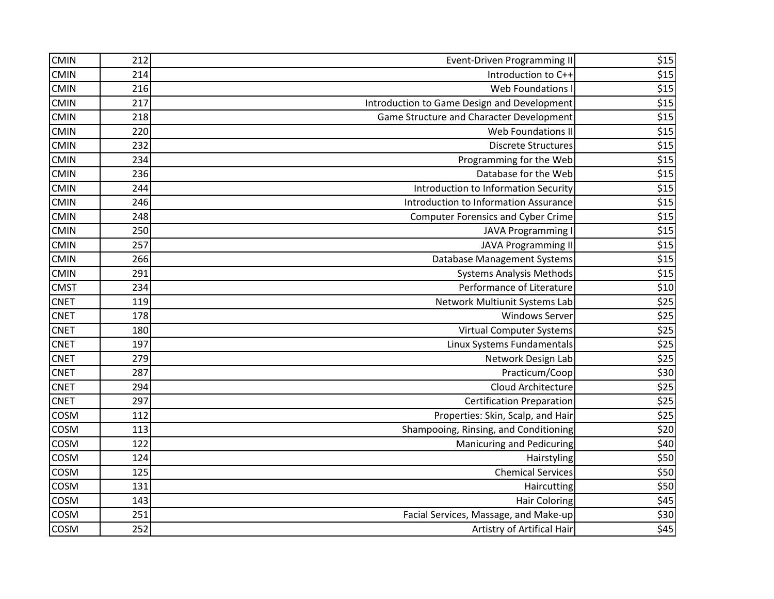| <b>CMIN</b> | 212 | <b>Event-Driven Programming II</b>          | \$15 |
|-------------|-----|---------------------------------------------|------|
| <b>CMIN</b> | 214 | Introduction to C++                         | \$15 |
| <b>CMIN</b> | 216 | Web Foundations I                           | \$15 |
| <b>CMIN</b> | 217 | Introduction to Game Design and Development | \$15 |
| <b>CMIN</b> | 218 | Game Structure and Character Development    | \$15 |
| <b>CMIN</b> | 220 | Web Foundations II                          | \$15 |
| <b>CMIN</b> | 232 | <b>Discrete Structures</b>                  | \$15 |
| <b>CMIN</b> | 234 | Programming for the Web                     | \$15 |
| <b>CMIN</b> | 236 | Database for the Web                        | \$15 |
| <b>CMIN</b> | 244 | Introduction to Information Security        | \$15 |
| <b>CMIN</b> | 246 | Introduction to Information Assurance       | \$15 |
| <b>CMIN</b> | 248 | <b>Computer Forensics and Cyber Crime</b>   | \$15 |
| <b>CMIN</b> | 250 | <b>JAVA Programming I</b>                   | \$15 |
| <b>CMIN</b> | 257 | <b>JAVA Programming II</b>                  | \$15 |
| <b>CMIN</b> | 266 | <b>Database Management Systems</b>          | \$15 |
| <b>CMIN</b> | 291 | <b>Systems Analysis Methods</b>             | \$15 |
| <b>CMST</b> | 234 | Performance of Literature                   | \$10 |
| <b>CNET</b> | 119 | Network Multiunit Systems Lab               | \$25 |
| <b>CNET</b> | 178 | <b>Windows Server</b>                       | \$25 |
| <b>CNET</b> | 180 | Virtual Computer Systems                    | \$25 |
| <b>CNET</b> | 197 | Linux Systems Fundamentals                  | \$25 |
| <b>CNET</b> | 279 | Network Design Lab                          | \$25 |
| <b>CNET</b> | 287 | Practicum/Coop                              | \$30 |
| <b>CNET</b> | 294 | Cloud Architecture                          | \$25 |
| <b>CNET</b> | 297 | <b>Certification Preparation</b>            | \$25 |
| COSM        | 112 | Properties: Skin, Scalp, and Hair           | \$25 |
| COSM        | 113 | Shampooing, Rinsing, and Conditioning       | \$20 |
| COSM        | 122 | <b>Manicuring and Pedicuring</b>            | \$40 |
| COSM        | 124 | Hairstyling                                 | \$50 |
| COSM        | 125 | <b>Chemical Services</b>                    | \$50 |
| COSM        | 131 | Haircutting                                 | \$50 |
| COSM        | 143 | <b>Hair Coloring</b>                        | \$45 |
| COSM        | 251 | Facial Services, Massage, and Make-up       | \$30 |
| COSM        | 252 | Artistry of Artifical Hair                  | \$45 |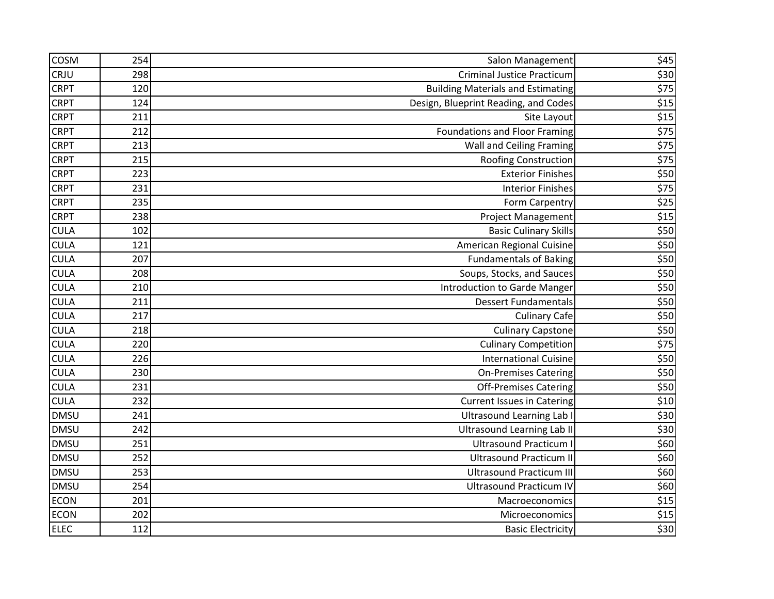| <b>COSM</b> | 254 | Salon Management                         | \$45 |
|-------------|-----|------------------------------------------|------|
| CRJU        | 298 | <b>Criminal Justice Practicum</b>        | \$30 |
| <b>CRPT</b> | 120 | <b>Building Materials and Estimating</b> | \$75 |
| <b>CRPT</b> | 124 | Design, Blueprint Reading, and Codes     | \$15 |
| <b>CRPT</b> | 211 | Site Layout                              | \$15 |
| <b>CRPT</b> | 212 | <b>Foundations and Floor Framing</b>     | \$75 |
| <b>CRPT</b> | 213 | <b>Wall and Ceiling Framing</b>          | \$75 |
| <b>CRPT</b> | 215 | Roofing Construction                     | \$75 |
| <b>CRPT</b> | 223 | <b>Exterior Finishes</b>                 | \$50 |
| <b>CRPT</b> | 231 | <b>Interior Finishes</b>                 | \$75 |
| <b>CRPT</b> | 235 | Form Carpentry                           | \$25 |
| <b>CRPT</b> | 238 | Project Management                       | \$15 |
| <b>CULA</b> | 102 | <b>Basic Culinary Skills</b>             | \$50 |
| <b>CULA</b> | 121 | American Regional Cuisine                | \$50 |
| <b>CULA</b> | 207 | <b>Fundamentals of Baking</b>            | \$50 |
| <b>CULA</b> | 208 | Soups, Stocks, and Sauces                | \$50 |
| <b>CULA</b> | 210 | <b>Introduction to Garde Manger</b>      | \$50 |
| <b>CULA</b> | 211 | <b>Dessert Fundamentals</b>              | \$50 |
| <b>CULA</b> | 217 | <b>Culinary Cafe</b>                     | \$50 |
| <b>CULA</b> | 218 | <b>Culinary Capstone</b>                 | \$50 |
| <b>CULA</b> | 220 | <b>Culinary Competition</b>              | \$75 |
| <b>CULA</b> | 226 | <b>International Cuisine</b>             | \$50 |
| <b>CULA</b> | 230 | <b>On-Premises Catering</b>              | \$50 |
| <b>CULA</b> | 231 | <b>Off-Premises Catering</b>             | \$50 |
| <b>CULA</b> | 232 | <b>Current Issues in Catering</b>        | \$10 |
| <b>DMSU</b> | 241 | <b>Ultrasound Learning Lab I</b>         | \$30 |
| <b>DMSU</b> | 242 | <b>Ultrasound Learning Lab II</b>        | \$30 |
| <b>DMSU</b> | 251 | <b>Ultrasound Practicum I</b>            | \$60 |
| <b>DMSU</b> | 252 | <b>Ultrasound Practicum II</b>           | \$60 |
| <b>DMSU</b> | 253 | <b>Ultrasound Practicum III</b>          | \$60 |
| <b>DMSU</b> | 254 | <b>Ultrasound Practicum IV</b>           | \$60 |
| <b>ECON</b> | 201 | Macroeconomics                           | \$15 |
| <b>ECON</b> | 202 | Microeconomics                           | \$15 |
| <b>ELEC</b> | 112 | <b>Basic Electricity</b>                 | 530  |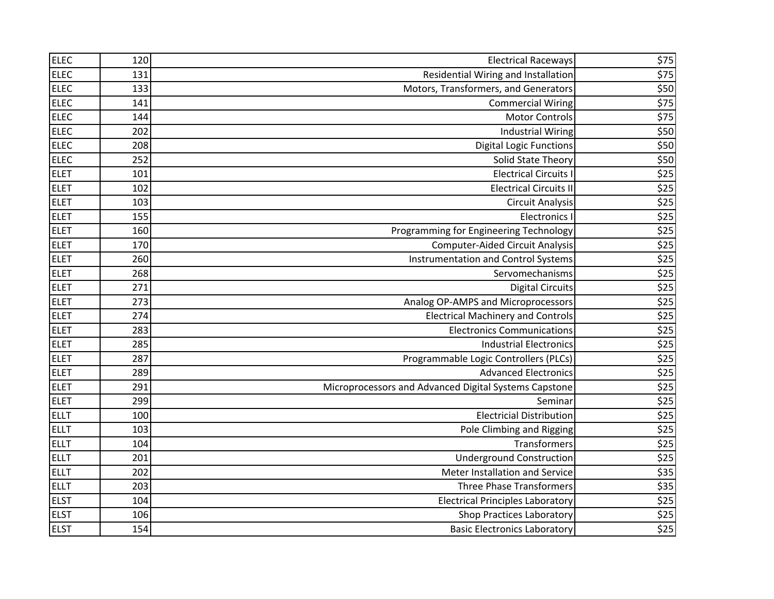| <b>ELEC</b> | 120 | <b>Electrical Raceways</b>                            | \$75             |
|-------------|-----|-------------------------------------------------------|------------------|
| <b>ELEC</b> | 131 | Residential Wiring and Installation                   | \$75             |
| <b>ELEC</b> | 133 | Motors, Transformers, and Generators                  | \$50             |
| <b>ELEC</b> | 141 | <b>Commercial Wiring</b>                              | \$75             |
| <b>ELEC</b> | 144 | <b>Motor Controls</b>                                 | \$75             |
| <b>ELEC</b> | 202 | <b>Industrial Wiring</b>                              | \$50             |
| <b>ELEC</b> | 208 | <b>Digital Logic Functions</b>                        | \$50             |
| <b>ELEC</b> | 252 | Solid State Theory                                    | \$50             |
| <b>ELET</b> | 101 | <b>Electrical Circuits I</b>                          | \$25             |
| <b>ELET</b> | 102 | <b>Electrical Circuits II</b>                         | \$25             |
| <b>ELET</b> | 103 | <b>Circuit Analysis</b>                               | \$25             |
| <b>ELET</b> | 155 | <b>Electronics I</b>                                  | \$25             |
| <b>ELET</b> | 160 | Programming for Engineering Technology                | \$25             |
| <b>ELET</b> | 170 | <b>Computer-Aided Circuit Analysis</b>                | \$25             |
| <b>ELET</b> | 260 | Instrumentation and Control Systems                   | \$25             |
| <b>ELET</b> | 268 | Servomechanisms                                       | \$25             |
| <b>ELET</b> | 271 | <b>Digital Circuits</b>                               | $$25$            |
| <b>ELET</b> | 273 | Analog OP-AMPS and Microprocessors                    | \$25             |
| <b>ELET</b> | 274 | <b>Electrical Machinery and Controls</b>              | \$25             |
| <b>ELET</b> | 283 | <b>Electronics Communications</b>                     | \$25             |
| <b>ELET</b> | 285 | <b>Industrial Electronics</b>                         | \$25             |
| <b>ELET</b> | 287 | Programmable Logic Controllers (PLCs)                 | \$25             |
| <b>ELET</b> | 289 | <b>Advanced Electronics</b>                           | \$25             |
| <b>ELET</b> | 291 | Microprocessors and Advanced Digital Systems Capstone | \$25             |
| <b>ELET</b> | 299 | Seminar                                               | \$25             |
| <b>ELLT</b> | 100 | <b>Electricial Distribution</b>                       | \$25             |
| <b>ELLT</b> | 103 | Pole Climbing and Rigging                             | $\overline{$25}$ |
| <b>ELLT</b> | 104 | Transformers                                          | \$25             |
| <b>ELLT</b> | 201 | <b>Underground Construction</b>                       | \$25             |
| <b>ELLT</b> | 202 | Meter Installation and Service                        | \$35             |
| <b>ELLT</b> | 203 | <b>Three Phase Transformers</b>                       | \$35             |
| <b>ELST</b> | 104 | <b>Electrical Principles Laboratory</b>               | \$25             |
| <b>ELST</b> | 106 | <b>Shop Practices Laboratory</b>                      | \$25             |
| <b>ELST</b> | 154 | <b>Basic Electronics Laboratory</b>                   | \$25             |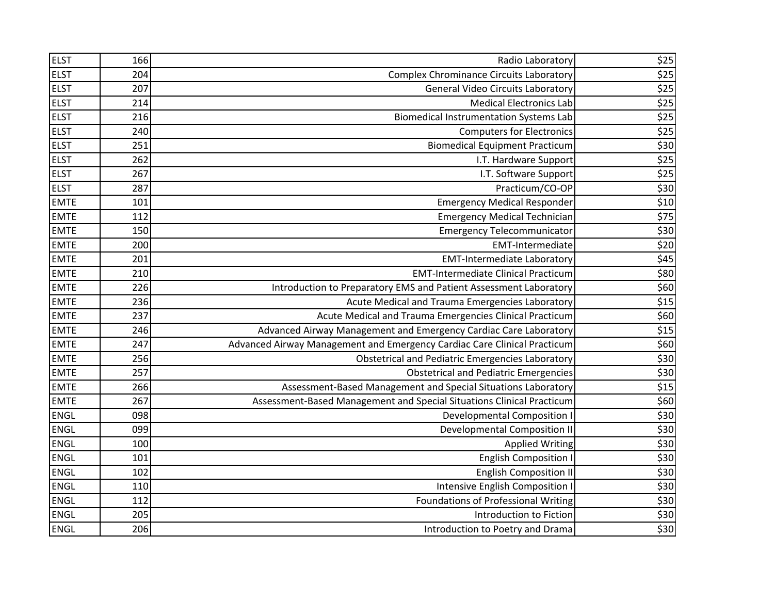| <b>ELST</b> | 166 | Radio Laboratory                                                         | \$25 |
|-------------|-----|--------------------------------------------------------------------------|------|
| <b>ELST</b> | 204 | <b>Complex Chrominance Circuits Laboratory</b>                           | \$25 |
| <b>ELST</b> | 207 | <b>General Video Circuits Laboratory</b>                                 | \$25 |
| <b>ELST</b> | 214 | <b>Medical Electronics Lab</b>                                           | \$25 |
| <b>ELST</b> | 216 | <b>Biomedical Instrumentation Systems Lab</b>                            | \$25 |
| <b>ELST</b> | 240 | <b>Computers for Electronics</b>                                         | \$25 |
| <b>ELST</b> | 251 | <b>Biomedical Equipment Practicum</b>                                    | \$30 |
| <b>ELST</b> | 262 | I.T. Hardware Support                                                    | \$25 |
| <b>ELST</b> | 267 | I.T. Software Support                                                    | \$25 |
| <b>ELST</b> | 287 | Practicum/CO-OP                                                          | \$30 |
| <b>EMTE</b> | 101 | <b>Emergency Medical Responder</b>                                       | \$10 |
| <b>EMTE</b> | 112 | <b>Emergency Medical Technician</b>                                      | \$75 |
| <b>EMTE</b> | 150 | <b>Emergency Telecommunicator</b>                                        | \$30 |
| <b>EMTE</b> | 200 | <b>EMT-Intermediate</b>                                                  | \$20 |
| <b>EMTE</b> | 201 | <b>EMT-Intermediate Laboratory</b>                                       | \$45 |
| <b>EMTE</b> | 210 | <b>EMT-Intermediate Clinical Practicum</b>                               | \$80 |
| <b>EMTE</b> | 226 | Introduction to Preparatory EMS and Patient Assessment Laboratory        | \$60 |
| <b>EMTE</b> | 236 | Acute Medical and Trauma Emergencies Laboratory                          | \$15 |
| <b>EMTE</b> | 237 | Acute Medical and Trauma Emergencies Clinical Practicum                  | \$60 |
| <b>EMTE</b> | 246 | Advanced Airway Management and Emergency Cardiac Care Laboratory         | \$15 |
| <b>EMTE</b> | 247 | Advanced Airway Management and Emergency Cardiac Care Clinical Practicum | \$60 |
| <b>EMTE</b> | 256 | <b>Obstetrical and Pediatric Emergencies Laboratory</b>                  | \$30 |
| <b>EMTE</b> | 257 | <b>Obstetrical and Pediatric Emergencies</b>                             | \$30 |
| <b>EMTE</b> | 266 | Assessment-Based Management and Special Situations Laboratory            | \$15 |
| <b>EMTE</b> | 267 | Assessment-Based Management and Special Situations Clinical Practicum    | \$60 |
| <b>ENGL</b> | 098 | <b>Developmental Composition I</b>                                       | \$30 |
| <b>ENGL</b> | 099 | <b>Developmental Composition II</b>                                      | \$30 |
| <b>ENGL</b> | 100 | <b>Applied Writing</b>                                                   | \$30 |
| <b>ENGL</b> | 101 | <b>English Composition I</b>                                             | \$30 |
| <b>ENGL</b> | 102 | <b>English Composition II</b>                                            | \$30 |
| <b>ENGL</b> | 110 | Intensive English Composition I                                          | \$30 |
| <b>ENGL</b> | 112 | Foundations of Professional Writing                                      | \$30 |
| <b>ENGL</b> | 205 | Introduction to Fiction                                                  | \$30 |
| <b>ENGL</b> | 206 | Introduction to Poetry and Drama                                         | \$30 |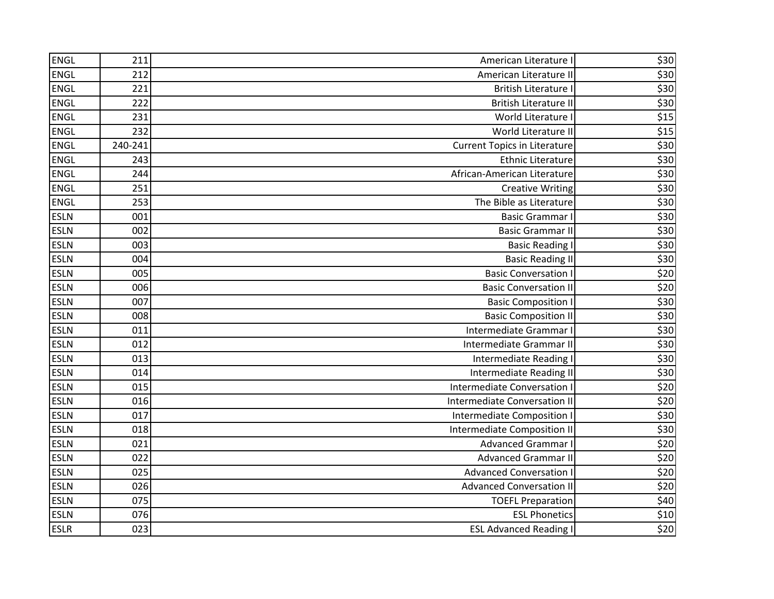| ENGL        | 211     | American Literature I               | \$30             |
|-------------|---------|-------------------------------------|------------------|
| <b>ENGL</b> | 212     | American Literature II              | \$30             |
| ENGL        | 221     | <b>British Literature I</b>         | \$30             |
| <b>ENGL</b> | 222     | <b>British Literature II</b>        | \$30             |
| <b>ENGL</b> | 231     | World Literature I                  | \$15             |
| ENGL        | 232     | World Literature II                 | \$15             |
| <b>ENGL</b> | 240-241 | <b>Current Topics in Literature</b> | \$30             |
| <b>ENGL</b> | 243     | <b>Ethnic Literature</b>            | \$30             |
| <b>ENGL</b> | 244     | African-American Literature         | \$30             |
| <b>ENGL</b> | 251     | <b>Creative Writing</b>             | \$30             |
| <b>ENGL</b> | 253     | The Bible as Literature             | \$30             |
| <b>ESLN</b> | 001     | <b>Basic Grammar I</b>              | \$30             |
| <b>ESLN</b> | 002     | <b>Basic Grammar II</b>             | \$30             |
| <b>ESLN</b> | 003     | <b>Basic Reading I</b>              | \$30             |
| <b>ESLN</b> | 004     | <b>Basic Reading II</b>             | \$30             |
| <b>ESLN</b> | 005     | <b>Basic Conversation I</b>         | \$20             |
| <b>ESLN</b> | 006     | <b>Basic Conversation II</b>        | \$20             |
| <b>ESLN</b> | 007     | <b>Basic Composition I</b>          | \$30             |
| <b>ESLN</b> | 008     | <b>Basic Composition II</b>         | \$30             |
| <b>ESLN</b> | 011     | Intermediate Grammar I              | \$30             |
| <b>ESLN</b> | 012     | Intermediate Grammar II             | \$30             |
| <b>ESLN</b> | 013     | Intermediate Reading                | \$30             |
| <b>ESLN</b> | 014     | <b>Intermediate Reading II</b>      | \$30             |
| <b>ESLN</b> | 015     | Intermediate Conversation I         | \$20             |
| <b>ESLN</b> | 016     | <b>Intermediate Conversation II</b> | \$20             |
| <b>ESLN</b> | 017     | Intermediate Composition I          | \$30             |
| <b>ESLN</b> | 018     | <b>Intermediate Composition II</b>  | \$30             |
| <b>ESLN</b> | 021     | <b>Advanced Grammar I</b>           | \$20             |
| <b>ESLN</b> | 022     | <b>Advanced Grammar II</b>          | \$20             |
| <b>ESLN</b> | 025     | <b>Advanced Conversation I</b>      | \$20             |
| <b>ESLN</b> | 026     | <b>Advanced Conversation II</b>     | \$20             |
| <b>ESLN</b> | 075     | <b>TOEFL Preparation</b>            | \$40             |
| <b>ESLN</b> | 076     | <b>ESL Phonetics</b>                | \$10             |
| <b>ESLR</b> | 023     | <b>ESL Advanced Reading I</b>       | $\overline{$}20$ |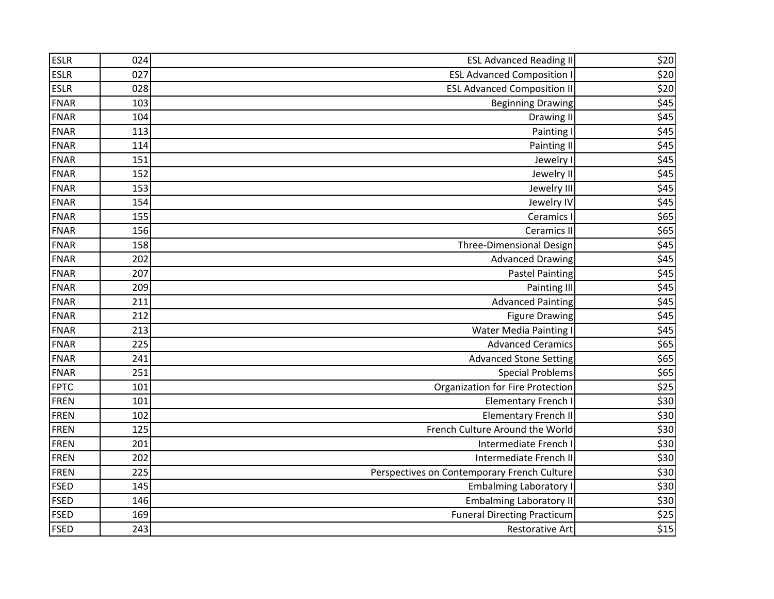| <b>ESLR</b> | 024 | <b>ESL Advanced Reading II</b>              | \$20             |
|-------------|-----|---------------------------------------------|------------------|
| <b>ESLR</b> | 027 | <b>ESL Advanced Composition I</b>           | $$20$            |
| <b>ESLR</b> | 028 | <b>ESL Advanced Composition II</b>          | \$20             |
| <b>FNAR</b> | 103 | <b>Beginning Drawing</b>                    | \$45             |
| <b>FNAR</b> | 104 | Drawing II                                  | \$45             |
| <b>FNAR</b> | 113 | Painting I                                  | \$45             |
| <b>FNAR</b> | 114 | <b>Painting II</b>                          | \$45             |
| <b>FNAR</b> | 151 | Jewelry I                                   | \$45             |
| <b>FNAR</b> | 152 | Jewelry II                                  | \$45             |
| <b>FNAR</b> | 153 | Jewelry III                                 | \$45             |
| <b>FNAR</b> | 154 | Jewelry IV                                  | \$45             |
| <b>FNAR</b> | 155 | Ceramics I                                  | \$65             |
| <b>FNAR</b> | 156 | <b>Ceramics II</b>                          | \$65             |
| <b>FNAR</b> | 158 | Three-Dimensional Design                    | \$45             |
| <b>FNAR</b> | 202 | <b>Advanced Drawing</b>                     | \$45             |
| <b>FNAR</b> | 207 | <b>Pastel Painting</b>                      | \$45             |
| <b>FNAR</b> | 209 | Painting III                                | \$45             |
| FNAR        | 211 | <b>Advanced Painting</b>                    | \$45             |
| <b>FNAR</b> | 212 | <b>Figure Drawing</b>                       | \$45             |
| <b>FNAR</b> | 213 | <b>Water Media Painting I</b>               | \$45             |
| <b>FNAR</b> | 225 | <b>Advanced Ceramics</b>                    | \$65             |
| <b>FNAR</b> | 241 | <b>Advanced Stone Setting</b>               | \$65             |
| <b>FNAR</b> | 251 | <b>Special Problems</b>                     | \$65             |
| <b>FPTC</b> | 101 | Organization for Fire Protection            | \$25             |
| FREN        | 101 | <b>Elementary French I</b>                  | \$30             |
| <b>FREN</b> | 102 | <b>Elementary French II</b>                 | \$30             |
| <b>FREN</b> | 125 | French Culture Around the World             | \$30             |
| FREN        | 201 | Intermediate French I                       | \$30             |
| FREN        | 202 | Intermediate French II                      | \$30             |
| FREN        | 225 | Perspectives on Contemporary French Culture | \$30             |
| <b>FSED</b> | 145 | <b>Embalming Laboratory I</b>               | \$30             |
| <b>FSED</b> | 146 | <b>Embalming Laboratory II</b>              | \$30             |
| <b>FSED</b> | 169 | <b>Funeral Directing Practicum</b>          | \$25             |
| <b>FSED</b> | 243 | <b>Restorative Art</b>                      | $\overline{$15}$ |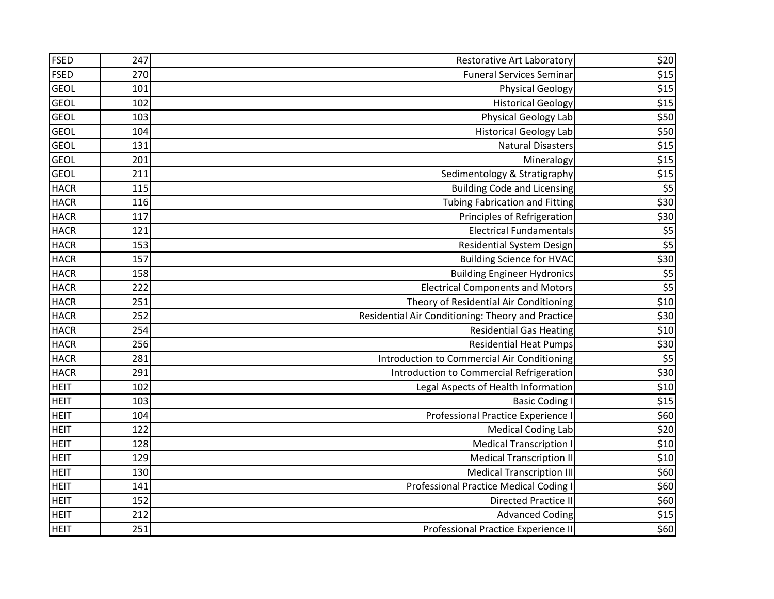| <b>FSED</b> | 247 | <b>Restorative Art Laboratory</b>                 | \$20                      |
|-------------|-----|---------------------------------------------------|---------------------------|
| <b>FSED</b> | 270 | <b>Funeral Services Seminar</b>                   | \$15                      |
| <b>GEOL</b> | 101 | <b>Physical Geology</b>                           | \$15                      |
| <b>GEOL</b> | 102 | <b>Historical Geology</b>                         | \$15                      |
| <b>GEOL</b> | 103 | Physical Geology Lab                              | \$50                      |
| <b>GEOL</b> | 104 | <b>Historical Geology Lab</b>                     | \$50                      |
| <b>GEOL</b> | 131 | <b>Natural Disasters</b>                          | \$15                      |
| <b>GEOL</b> | 201 | Mineralogy                                        | \$15                      |
| <b>GEOL</b> | 211 | Sedimentology & Stratigraphy                      | $\overline{$15}$          |
| <b>HACR</b> | 115 | <b>Building Code and Licensing</b>                | \$5                       |
| <b>HACR</b> | 116 | <b>Tubing Fabrication and Fitting</b>             | \$30                      |
| <b>HACR</b> | 117 | Principles of Refrigeration                       | \$30                      |
| <b>HACR</b> | 121 | <b>Electrical Fundamentals</b>                    | $rac{\$5}{\$5}$           |
| <b>HACR</b> | 153 | <b>Residential System Design</b>                  |                           |
| <b>HACR</b> | 157 | <b>Building Science for HVAC</b>                  | \$30                      |
| <b>HACR</b> | 158 | <b>Building Engineer Hydronics</b>                | $rac{$5}{$5}$             |
| <b>HACR</b> | 222 | <b>Electrical Components and Motors</b>           |                           |
| <b>HACR</b> | 251 | Theory of Residential Air Conditioning            | \$10                      |
| <b>HACR</b> | 252 | Residential Air Conditioning: Theory and Practice | \$30                      |
| <b>HACR</b> | 254 | <b>Residential Gas Heating</b>                    | $$10$                     |
| <b>HACR</b> | 256 | <b>Residential Heat Pumps</b>                     | \$30                      |
| <b>HACR</b> | 281 | Introduction to Commercial Air Conditioning       | $\overline{\overline{5}}$ |
| <b>HACR</b> | 291 | Introduction to Commercial Refrigeration          | $\frac{1}{530}$           |
| <b>HEIT</b> | 102 | Legal Aspects of Health Information               | \$10                      |
| <b>HEIT</b> | 103 | <b>Basic Coding I</b>                             | \$15                      |
| <b>HEIT</b> | 104 | Professional Practice Experience I                | \$60                      |
| <b>HEIT</b> | 122 | <b>Medical Coding Lab</b>                         | \$20                      |
| <b>HEIT</b> | 128 | <b>Medical Transcription I</b>                    | \$10                      |
| <b>HEIT</b> | 129 | <b>Medical Transcription II</b>                   | \$10                      |
| <b>HEIT</b> | 130 | <b>Medical Transcription III</b>                  | \$60                      |
| <b>HEIT</b> | 141 | <b>Professional Practice Medical Coding I</b>     | \$60                      |
| <b>HEIT</b> | 152 | <b>Directed Practice II</b>                       | \$60                      |
| <b>HEIT</b> | 212 | <b>Advanced Coding</b>                            | $$15$                     |
| <b>HEIT</b> | 251 | Professional Practice Experience II               | \$60                      |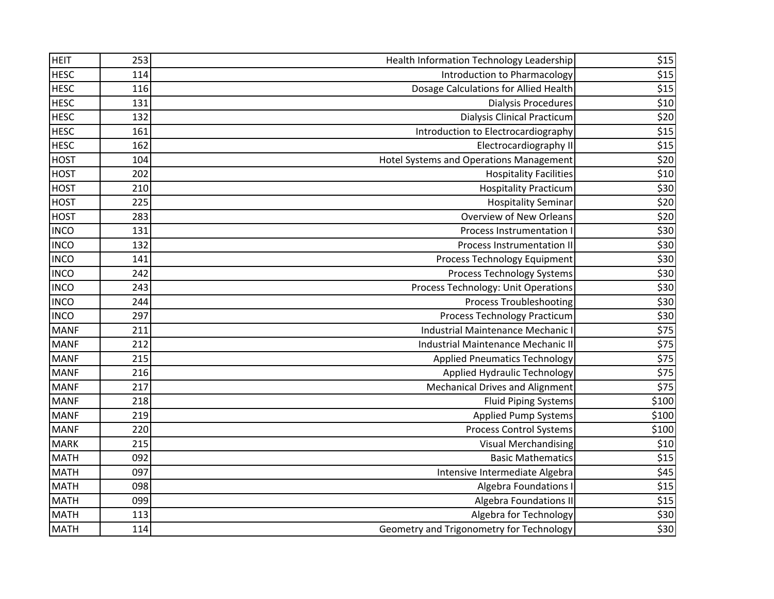| <b>HEIT</b> | 253 | Health Information Technology Leadership | \$15  |
|-------------|-----|------------------------------------------|-------|
| <b>HESC</b> | 114 | Introduction to Pharmacology             | \$15  |
| <b>HESC</b> | 116 | Dosage Calculations for Allied Health    | \$15  |
| <b>HESC</b> | 131 | <b>Dialysis Procedures</b>               | \$10  |
| <b>HESC</b> | 132 | <b>Dialysis Clinical Practicum</b>       | \$20  |
| <b>HESC</b> | 161 | Introduction to Electrocardiography      | \$15  |
| <b>HESC</b> | 162 | Electrocardiography II                   | $$15$ |
| <b>HOST</b> | 104 | Hotel Systems and Operations Management  | \$20  |
| <b>HOST</b> | 202 | <b>Hospitality Facilities</b>            | \$10  |
| <b>HOST</b> | 210 | <b>Hospitality Practicum</b>             | \$30  |
| <b>HOST</b> | 225 | <b>Hospitality Seminar</b>               | \$20  |
| <b>HOST</b> | 283 | Overview of New Orleans                  | \$20  |
| <b>INCO</b> | 131 | Process Instrumentation                  | \$30  |
| <b>INCO</b> | 132 | <b>Process Instrumentation II</b>        | \$30  |
| <b>INCO</b> | 141 | Process Technology Equipment             | \$30  |
| <b>INCO</b> | 242 | <b>Process Technology Systems</b>        | \$30  |
| <b>INCO</b> | 243 | Process Technology: Unit Operations      | \$30  |
| <b>INCO</b> | 244 | <b>Process Troubleshooting</b>           | \$30  |
| <b>INCO</b> | 297 | <b>Process Technology Practicum</b>      | \$30  |
| <b>MANF</b> | 211 | Industrial Maintenance Mechanic I        | \$75  |
| <b>MANF</b> | 212 | Industrial Maintenance Mechanic II       | \$75  |
| <b>MANF</b> | 215 | <b>Applied Pneumatics Technology</b>     | \$75  |
| <b>MANF</b> | 216 | <b>Applied Hydraulic Technology</b>      | \$75  |
| <b>MANF</b> | 217 | <b>Mechanical Drives and Alignment</b>   | \$75  |
| <b>MANF</b> | 218 | <b>Fluid Piping Systems</b>              | \$100 |
| <b>MANF</b> | 219 | <b>Applied Pump Systems</b>              | \$100 |
| <b>MANF</b> | 220 | <b>Process Control Systems</b>           | \$100 |
| <b>MARK</b> | 215 | <b>Visual Merchandising</b>              | \$10  |
| <b>MATH</b> | 092 | <b>Basic Mathematics</b>                 | \$15  |
| <b>MATH</b> | 097 | Intensive Intermediate Algebra           | \$45  |
| <b>MATH</b> | 098 | <b>Algebra Foundations I</b>             | \$15  |
| <b>MATH</b> | 099 | <b>Algebra Foundations II</b>            | \$15  |
| <b>MATH</b> | 113 | Algebra for Technology                   | \$30  |
| <b>MATH</b> | 114 | Geometry and Trigonometry for Technology | \$30  |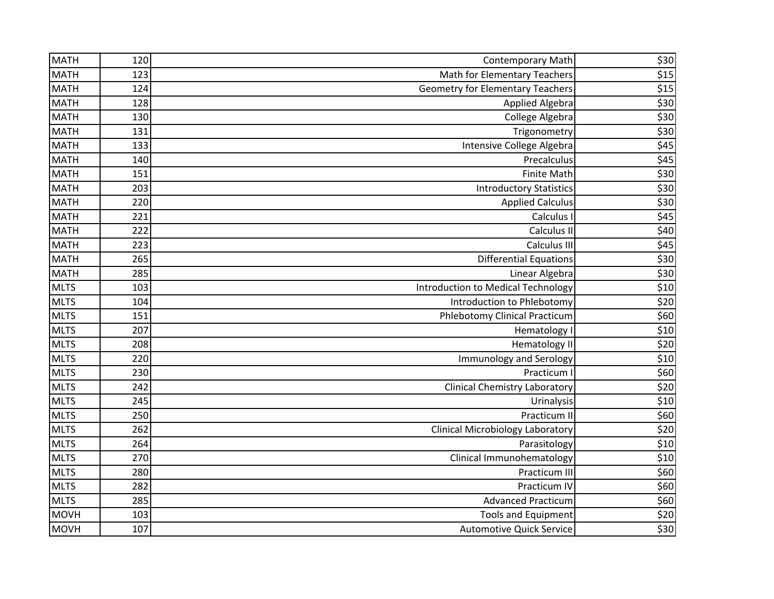| <b>MATH</b> | 120 | <b>Contemporary Math</b>                | \$30  |
|-------------|-----|-----------------------------------------|-------|
| <b>MATH</b> | 123 | <b>Math for Elementary Teachers</b>     | \$15  |
| <b>MATH</b> | 124 | <b>Geometry for Elementary Teachers</b> | $$15$ |
| <b>MATH</b> | 128 | <b>Applied Algebra</b>                  | \$30  |
| <b>MATH</b> | 130 | College Algebra                         | \$30  |
| <b>MATH</b> | 131 | Trigonometry                            | \$30  |
| <b>MATH</b> | 133 | Intensive College Algebra               | \$45  |
| <b>MATH</b> | 140 | Precalculus                             | \$45  |
| <b>MATH</b> | 151 | <b>Finite Math</b>                      | \$30  |
| <b>MATH</b> | 203 | <b>Introductory Statistics</b>          | \$30  |
| <b>MATH</b> | 220 | <b>Applied Calculus</b>                 | \$30  |
| <b>MATH</b> | 221 | Calculus I                              | \$45  |
| <b>MATH</b> | 222 | Calculus II                             | \$40  |
| <b>MATH</b> | 223 | Calculus III                            | \$45  |
| <b>MATH</b> | 265 | <b>Differential Equations</b>           | \$30  |
| <b>MATH</b> | 285 | Linear Algebra                          | \$30  |
| <b>MLTS</b> | 103 | Introduction to Medical Technology      | $$10$ |
| <b>MLTS</b> | 104 | Introduction to Phlebotomy              | \$20  |
| <b>MLTS</b> | 151 | <b>Phlebotomy Clinical Practicum</b>    | \$60  |
| <b>MLTS</b> | 207 | Hematology I                            | \$10  |
| <b>MLTS</b> | 208 | <b>Hematology II</b>                    | \$20  |
| <b>MLTS</b> | 220 | <b>Immunology and Serology</b>          | \$10  |
| <b>MLTS</b> | 230 | Practicum I                             | \$60  |
| <b>MLTS</b> | 242 | <b>Clinical Chemistry Laboratory</b>    | \$20  |
| <b>MLTS</b> | 245 | Urinalysis                              | \$10  |
| <b>MLTS</b> | 250 | Practicum II                            | \$60  |
| <b>MLTS</b> | 262 | <b>Clinical Microbiology Laboratory</b> | \$20  |
| <b>MLTS</b> | 264 | Parasitology                            | \$10  |
| <b>MLTS</b> | 270 | Clinical Immunohematology               | \$10  |
| <b>MLTS</b> | 280 | Practicum III                           | \$60  |
| <b>MLTS</b> | 282 | Practicum IV                            | \$60  |
| <b>MLTS</b> | 285 | <b>Advanced Practicum</b>               | \$60  |
| <b>MOVH</b> | 103 | <b>Tools and Equipment</b>              | \$20  |
| <b>MOVH</b> | 107 | <b>Automotive Quick Service</b>         | \$30  |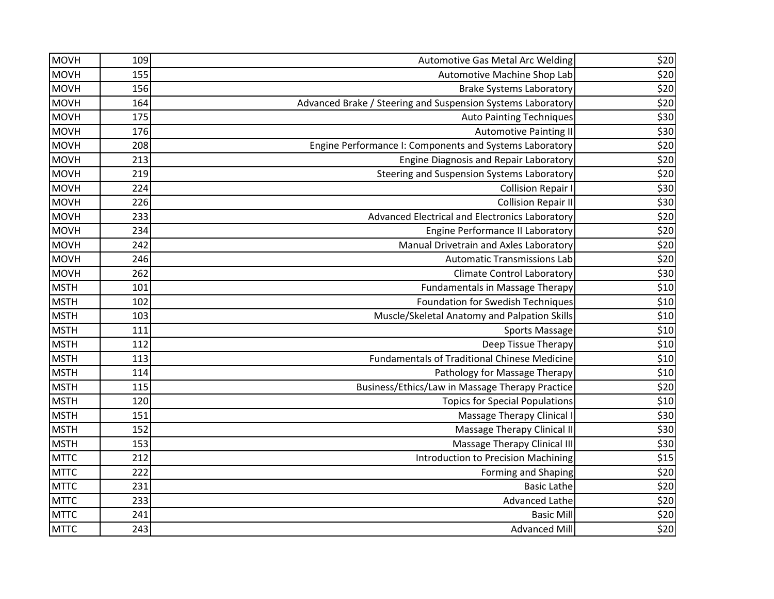| <b>MOVH</b> | 109 | Automotive Gas Metal Arc Welding                            | \$20  |
|-------------|-----|-------------------------------------------------------------|-------|
| <b>MOVH</b> | 155 | Automotive Machine Shop Lab                                 | \$20  |
| <b>MOVH</b> | 156 | <b>Brake Systems Laboratory</b>                             | \$20  |
| <b>MOVH</b> | 164 | Advanced Brake / Steering and Suspension Systems Laboratory | \$20  |
| <b>MOVH</b> | 175 | <b>Auto Painting Techniques</b>                             | \$30  |
| <b>MOVH</b> | 176 | <b>Automotive Painting II</b>                               | \$30  |
| <b>MOVH</b> | 208 | Engine Performance I: Components and Systems Laboratory     | \$20  |
| <b>MOVH</b> | 213 | Engine Diagnosis and Repair Laboratory                      | \$20  |
| <b>MOVH</b> | 219 | Steering and Suspension Systems Laboratory                  | \$20  |
| <b>MOVH</b> | 224 | <b>Collision Repair I</b>                                   | \$30  |
| <b>MOVH</b> | 226 | <b>Collision Repair II</b>                                  | \$30  |
| <b>MOVH</b> | 233 | Advanced Electrical and Electronics Laboratory              | \$20  |
| <b>MOVH</b> | 234 | Engine Performance II Laboratory                            | \$20  |
| <b>MOVH</b> | 242 | Manual Drivetrain and Axles Laboratory                      | \$20  |
| <b>MOVH</b> | 246 | <b>Automatic Transmissions Lab</b>                          | \$20  |
| <b>MOVH</b> | 262 | <b>Climate Control Laboratory</b>                           | \$30  |
| <b>MSTH</b> | 101 | Fundamentals in Massage Therapy                             | $$10$ |
| <b>MSTH</b> | 102 | Foundation for Swedish Techniques                           | \$10  |
| <b>MSTH</b> | 103 | Muscle/Skeletal Anatomy and Palpation Skills                | \$10  |
| <b>MSTH</b> | 111 | Sports Massage                                              | $$10$ |
| <b>MSTH</b> | 112 | Deep Tissue Therapy                                         | \$10  |
| <b>MSTH</b> | 113 | <b>Fundamentals of Traditional Chinese Medicine</b>         | \$10  |
| <b>MSTH</b> | 114 | Pathology for Massage Therapy                               | \$10  |
| <b>MSTH</b> | 115 | Business/Ethics/Law in Massage Therapy Practice             | \$20  |
| <b>MSTH</b> | 120 | <b>Topics for Special Populations</b>                       | $$10$ |
| <b>MSTH</b> | 151 | Massage Therapy Clinical I                                  | \$30  |
| <b>MSTH</b> | 152 | Massage Therapy Clinical II                                 | \$30  |
| <b>MSTH</b> | 153 | <b>Massage Therapy Clinical III</b>                         | \$30  |
| <b>MTTC</b> | 212 | <b>Introduction to Precision Machining</b>                  | \$15  |
| <b>MTTC</b> | 222 | <b>Forming and Shaping</b>                                  | \$20  |
| <b>MTTC</b> | 231 | <b>Basic Lathe</b>                                          | \$20  |
| <b>MTTC</b> | 233 | Advanced Lathe                                              | \$20  |
| <b>MTTC</b> | 241 | <b>Basic Mill</b>                                           | \$20  |
| <b>MTTC</b> | 243 | <b>Advanced Mill</b>                                        | \$20  |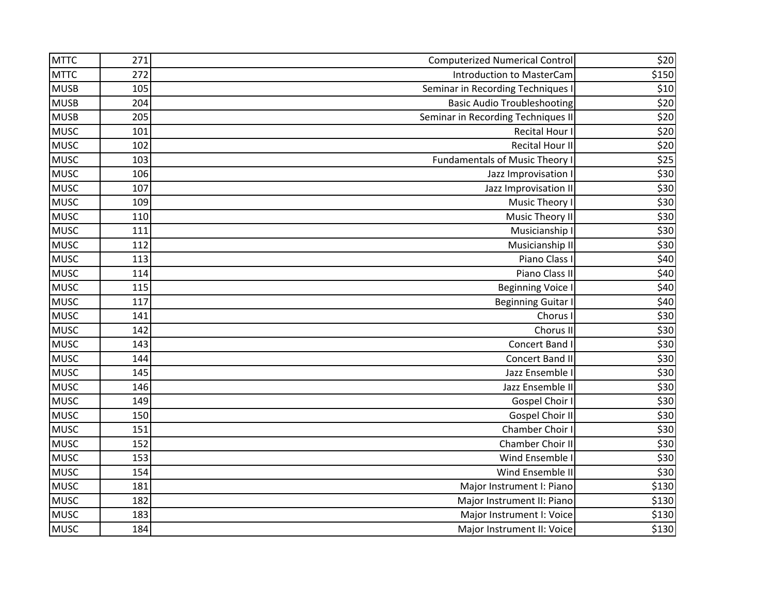| <b>MTTC</b> | 271 | <b>Computerized Numerical Control</b> | \$20  |
|-------------|-----|---------------------------------------|-------|
| <b>MTTC</b> | 272 | <b>Introduction to MasterCam</b>      | \$150 |
| <b>MUSB</b> | 105 | Seminar in Recording Techniques I     | \$10  |
| <b>MUSB</b> | 204 | <b>Basic Audio Troubleshooting</b>    | \$20  |
| <b>MUSB</b> | 205 | Seminar in Recording Techniques II    | \$20  |
| <b>MUSC</b> | 101 | <b>Recital Hour I</b>                 | \$20  |
| <b>MUSC</b> | 102 | <b>Recital Hour II</b>                | \$20  |
| <b>MUSC</b> | 103 | Fundamentals of Music Theory I        | \$25  |
| <b>MUSC</b> | 106 | Jazz Improvisation I                  | \$30  |
| <b>MUSC</b> | 107 | Jazz Improvisation II                 | \$30  |
| <b>MUSC</b> | 109 | Music Theory I                        | \$30  |
| <b>MUSC</b> | 110 | Music Theory II                       | \$30  |
| <b>MUSC</b> | 111 | Musicianship I                        | \$30  |
| <b>MUSC</b> | 112 | Musicianship II                       | \$30  |
| <b>MUSC</b> | 113 | Piano Class I                         | \$40  |
| <b>MUSC</b> | 114 | Piano Class II                        | \$40  |
| <b>MUSC</b> | 115 | <b>Beginning Voice I</b>              | \$40  |
| <b>MUSC</b> | 117 | <b>Beginning Guitar I</b>             | \$40  |
| <b>MUSC</b> | 141 | Chorus I                              | \$30  |
| <b>MUSC</b> | 142 | Chorus II                             | \$30  |
| <b>MUSC</b> | 143 | Concert Band I                        | \$30  |
| <b>MUSC</b> | 144 | Concert Band II                       | \$30  |
| <b>MUSC</b> | 145 | Jazz Ensemble I                       | \$30  |
| <b>MUSC</b> | 146 | Jazz Ensemble II                      | \$30  |
| <b>MUSC</b> | 149 | Gospel Choir I                        | \$30  |
| <b>MUSC</b> | 150 | Gospel Choir II                       | \$30  |
| <b>MUSC</b> | 151 | Chamber Choir I                       | \$30  |
| <b>MUSC</b> | 152 | Chamber Choir II                      | \$30  |
| <b>MUSC</b> | 153 | Wind Ensemble I                       | \$30  |
| <b>MUSC</b> | 154 | Wind Ensemble II                      | \$30  |
| <b>MUSC</b> | 181 | Major Instrument I: Piano             | \$130 |
| <b>MUSC</b> | 182 | Major Instrument II: Piano            | \$130 |
| <b>MUSC</b> | 183 | Major Instrument I: Voice             | \$130 |
| <b>MUSC</b> | 184 | Major Instrument II: Voice            | \$130 |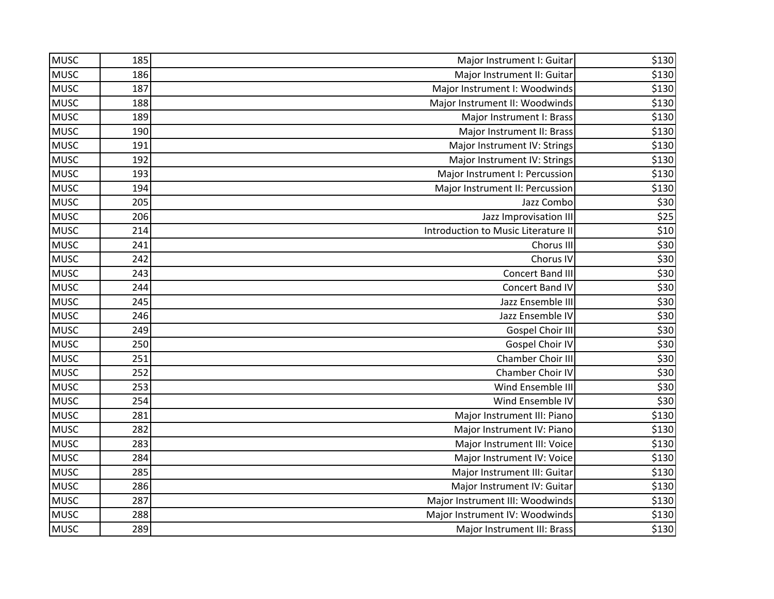| <b>MUSC</b> | 185 | Major Instrument I: Guitar          | \$130 |
|-------------|-----|-------------------------------------|-------|
| <b>MUSC</b> | 186 | Major Instrument II: Guitar         | \$130 |
| <b>MUSC</b> | 187 | Major Instrument I: Woodwinds       | \$130 |
| <b>MUSC</b> | 188 | Major Instrument II: Woodwinds      | \$130 |
| <b>MUSC</b> | 189 | Major Instrument I: Brass           | \$130 |
| <b>MUSC</b> | 190 | Major Instrument II: Brass          | \$130 |
| <b>MUSC</b> | 191 | Major Instrument IV: Strings        | \$130 |
| <b>MUSC</b> | 192 | Major Instrument IV: Strings        | \$130 |
| <b>MUSC</b> | 193 | Major Instrument I: Percussion      | \$130 |
| <b>MUSC</b> | 194 | Major Instrument II: Percussion     | \$130 |
| <b>MUSC</b> | 205 | Jazz Combo                          | \$30  |
| <b>MUSC</b> | 206 | Jazz Improvisation III              | \$25  |
| <b>MUSC</b> | 214 | Introduction to Music Literature II | \$10  |
| <b>MUSC</b> | 241 | Chorus III                          | \$30  |
| <b>MUSC</b> | 242 | Chorus IV                           | \$30  |
| <b>MUSC</b> | 243 | <b>Concert Band III</b>             | \$30  |
| <b>MUSC</b> | 244 | Concert Band IV                     | \$30  |
| <b>MUSC</b> | 245 | Jazz Ensemble III                   | \$30  |
| <b>MUSC</b> | 246 | Jazz Ensemble IV                    | \$30  |
| <b>MUSC</b> | 249 | Gospel Choir III                    | \$30  |
| <b>MUSC</b> | 250 | Gospel Choir IV                     | \$30  |
| <b>MUSC</b> | 251 | Chamber Choir III                   | \$30  |
| <b>MUSC</b> | 252 | Chamber Choir IV                    | \$30  |
| <b>MUSC</b> | 253 | Wind Ensemble III                   | \$30  |
| <b>MUSC</b> | 254 | Wind Ensemble IV                    | \$30  |
| <b>MUSC</b> | 281 | Major Instrument III: Piano         | \$130 |
| <b>MUSC</b> | 282 | Major Instrument IV: Piano          | \$130 |
| <b>MUSC</b> | 283 | Major Instrument III: Voice         | \$130 |
| <b>MUSC</b> | 284 | Major Instrument IV: Voice          | \$130 |
| <b>MUSC</b> | 285 | Major Instrument III: Guitar        | \$130 |
| <b>MUSC</b> | 286 | Major Instrument IV: Guitar         | \$130 |
| <b>MUSC</b> | 287 | Major Instrument III: Woodwinds     | \$130 |
| <b>MUSC</b> | 288 | Major Instrument IV: Woodwinds      | \$130 |
| <b>MUSC</b> | 289 | Major Instrument III: Brass         | \$130 |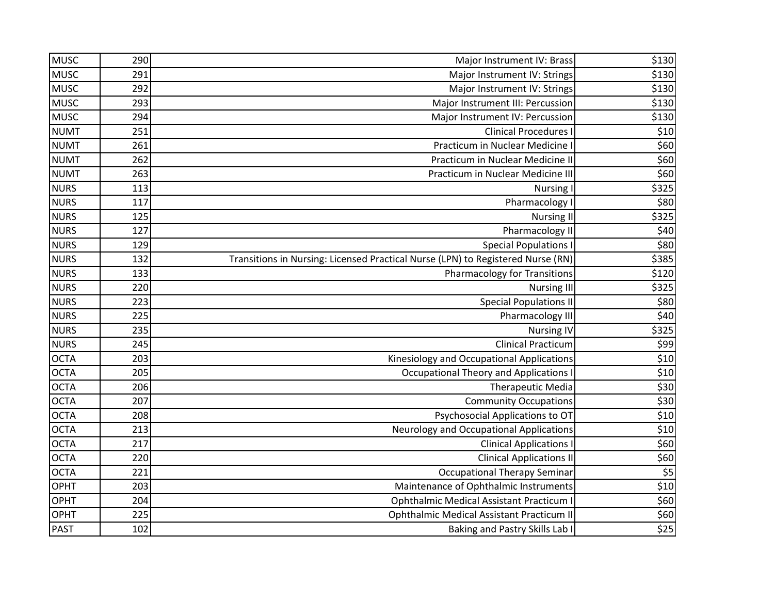| <b>MUSC</b> | 290 | Major Instrument IV: Brass                                                      | \$130           |
|-------------|-----|---------------------------------------------------------------------------------|-----------------|
| <b>MUSC</b> | 291 | Major Instrument IV: Strings                                                    | \$130           |
| <b>MUSC</b> | 292 | Major Instrument IV: Strings                                                    | \$130           |
| <b>MUSC</b> | 293 | Major Instrument III: Percussion                                                | \$130           |
| <b>MUSC</b> | 294 | Major Instrument IV: Percussion                                                 | \$130           |
| <b>NUMT</b> | 251 | <b>Clinical Procedures I</b>                                                    | \$10            |
| <b>NUMT</b> | 261 | Practicum in Nuclear Medicine                                                   | \$60            |
| <b>NUMT</b> | 262 | Practicum in Nuclear Medicine II                                                | \$60            |
| <b>NUMT</b> | 263 | Practicum in Nuclear Medicine III                                               | \$60            |
| <b>NURS</b> | 113 | <b>Nursing I</b>                                                                | \$325           |
| <b>NURS</b> | 117 | Pharmacology I                                                                  | \$80            |
| <b>NURS</b> | 125 | <b>Nursing II</b>                                                               | \$325           |
| <b>NURS</b> | 127 | Pharmacology II                                                                 | \$40            |
| <b>NURS</b> | 129 | <b>Special Populations I</b>                                                    | \$80            |
| <b>NURS</b> | 132 | Transitions in Nursing: Licensed Practical Nurse (LPN) to Registered Nurse (RN) | \$385           |
| <b>NURS</b> | 133 | <b>Pharmacology for Transitions</b>                                             | \$120           |
| <b>NURS</b> | 220 | <b>Nursing III</b>                                                              | \$325           |
| <b>NURS</b> | 223 | <b>Special Populations II</b>                                                   | \$80            |
| <b>NURS</b> | 225 | Pharmacology III                                                                | \$40            |
| <b>NURS</b> | 235 | <b>Nursing IV</b>                                                               | \$325           |
| <b>NURS</b> | 245 | <b>Clinical Practicum</b>                                                       | \$99            |
| <b>OCTA</b> | 203 | Kinesiology and Occupational Applications                                       | \$10            |
| <b>OCTA</b> | 205 | <b>Occupational Theory and Applications I</b>                                   | \$10            |
| <b>OCTA</b> | 206 | Therapeutic Media                                                               | \$30            |
| <b>OCTA</b> | 207 | <b>Community Occupations</b>                                                    | \$30            |
| <b>OCTA</b> | 208 | Psychosocial Applications to OT                                                 | \$10            |
| <b>OCTA</b> | 213 | <b>Neurology and Occupational Applications</b>                                  | \$10            |
| <b>OCTA</b> | 217 | <b>Clinical Applications I</b>                                                  | \$60            |
| <b>OCTA</b> | 220 | <b>Clinical Applications II</b>                                                 | \$60            |
| <b>OCTA</b> | 221 | <b>Occupational Therapy Seminar</b>                                             | \$5             |
| <b>OPHT</b> | 203 | Maintenance of Ophthalmic Instruments                                           | \$10            |
| <b>OPHT</b> | 204 | <b>Ophthalmic Medical Assistant Practicum I</b>                                 | \$60            |
| <b>OPHT</b> | 225 | <b>Ophthalmic Medical Assistant Practicum II</b>                                | \$60            |
| <b>PAST</b> | 102 | Baking and Pastry Skills Lab I                                                  | $\frac{1}{525}$ |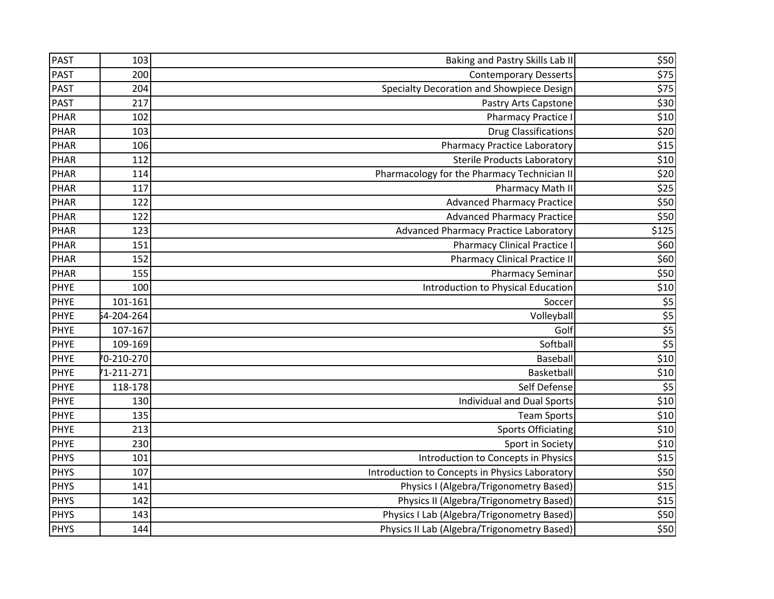| <b>PAST</b> | 103        | Baking and Pastry Skills Lab II                | \$50           |
|-------------|------------|------------------------------------------------|----------------|
| <b>PAST</b> | 200        | <b>Contemporary Desserts</b>                   | \$75           |
| <b>PAST</b> | 204        | Specialty Decoration and Showpiece Design      | \$75           |
| <b>PAST</b> | 217        | Pastry Arts Capstone                           | \$30           |
| <b>PHAR</b> | 102        | <b>Pharmacy Practice I</b>                     | \$10           |
| PHAR        | 103        | <b>Drug Classifications</b>                    | \$20           |
| <b>PHAR</b> | 106        | <b>Pharmacy Practice Laboratory</b>            | $$15$          |
| PHAR        | 112        | Sterile Products Laboratory                    | \$10           |
| <b>PHAR</b> | 114        | Pharmacology for the Pharmacy Technician II    | \$20           |
| <b>PHAR</b> | 117        | <b>Pharmacy Math II</b>                        | \$25           |
| <b>PHAR</b> | 122        | <b>Advanced Pharmacy Practice</b>              | \$50           |
| PHAR        | 122        | <b>Advanced Pharmacy Practice</b>              | \$50           |
| <b>PHAR</b> | 123        | Advanced Pharmacy Practice Laboratory          | \$125          |
| <b>PHAR</b> | 151        | <b>Pharmacy Clinical Practice I</b>            | \$60           |
| PHAR        | 152        | <b>Pharmacy Clinical Practice II</b>           | \$60           |
| PHAR        | 155        | <b>Pharmacy Seminar</b>                        | \$50           |
| <b>PHYE</b> | 100        | Introduction to Physical Education             | \$10           |
| <b>PHYE</b> | 101-161    | Soccer                                         | $\frac{$5}{1}$ |
| <b>PHYE</b> | 54-204-264 | Volleyball                                     |                |
| <b>PHYE</b> | 107-167    | Golf                                           | $rac{$5}{$5}$  |
| <b>PHYE</b> | 109-169    | Softball                                       |                |
| <b>PHYE</b> | 70-210-270 | Baseball                                       | \$10           |
| <b>PHYE</b> | 1-211-271  | Basketball                                     | \$10           |
| <b>PHYE</b> | 118-178    | Self Defense                                   | \$5            |
| <b>PHYE</b> | 130        | <b>Individual and Dual Sports</b>              | $$10$          |
| <b>PHYE</b> | 135        | <b>Team Sports</b>                             | \$10           |
| <b>PHYE</b> | 213        | <b>Sports Officiating</b>                      | \$10           |
| <b>PHYE</b> | 230        | Sport in Society                               | \$10           |
| <b>PHYS</b> | 101        | Introduction to Concepts in Physics            | \$15           |
| <b>PHYS</b> | 107        | Introduction to Concepts in Physics Laboratory | \$50           |
| <b>PHYS</b> | 141        | Physics I (Algebra/Trigonometry Based)         | \$15           |
| <b>PHYS</b> | 142        | Physics II (Algebra/Trigonometry Based)        | \$15           |
| <b>PHYS</b> | 143        | Physics I Lab (Algebra/Trigonometry Based)     | \$50           |
| <b>PHYS</b> | 144        | Physics II Lab (Algebra/Trigonometry Based)    | \$50           |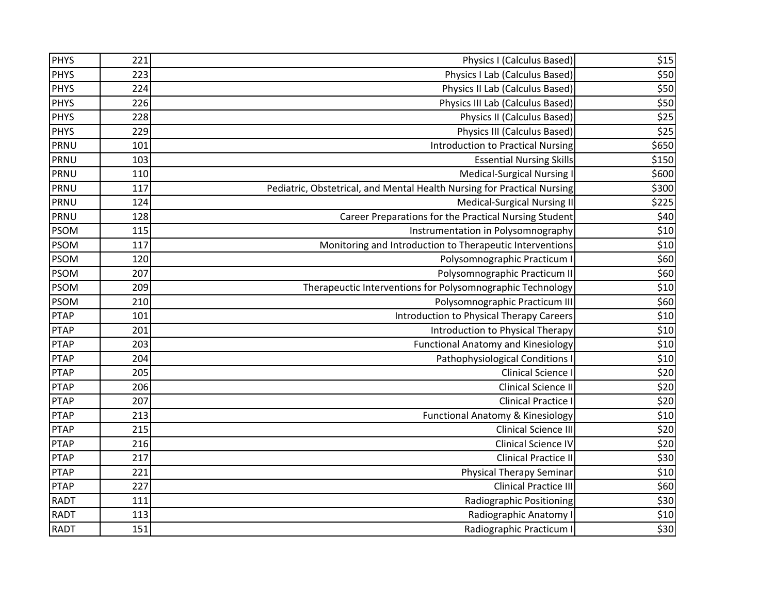| <b>PHYS</b> | 221 | Physics I (Calculus Based)                                              | \$15  |
|-------------|-----|-------------------------------------------------------------------------|-------|
| <b>PHYS</b> | 223 | Physics I Lab (Calculus Based)                                          | \$50  |
| <b>PHYS</b> | 224 | Physics II Lab (Calculus Based)                                         | \$50  |
| <b>PHYS</b> | 226 | Physics III Lab (Calculus Based)                                        | \$50  |
| <b>PHYS</b> | 228 | <b>Physics II (Calculus Based)</b>                                      | \$25  |
| <b>PHYS</b> | 229 | <b>Physics III (Calculus Based)</b>                                     | \$25  |
| PRNU        | 101 | <b>Introduction to Practical Nursing</b>                                | \$650 |
| PRNU        | 103 | <b>Essential Nursing Skills</b>                                         | \$150 |
| PRNU        | 110 | <b>Medical-Surgical Nursing I</b>                                       | \$600 |
| PRNU        | 117 | Pediatric, Obstetrical, and Mental Health Nursing for Practical Nursing | \$300 |
| PRNU        | 124 | <b>Medical-Surgical Nursing II</b>                                      | \$225 |
| PRNU        | 128 | Career Preparations for the Practical Nursing Student                   | \$40  |
| <b>PSOM</b> | 115 | Instrumentation in Polysomnography                                      | \$10  |
| <b>PSOM</b> | 117 | Monitoring and Introduction to Therapeutic Interventions                | \$10  |
| <b>PSOM</b> | 120 | Polysomnographic Practicum I                                            | \$60  |
| <b>PSOM</b> | 207 | Polysomnographic Practicum II                                           | \$60  |
| <b>PSOM</b> | 209 | Therapeuctic Interventions for Polysomnographic Technology              | $$10$ |
| <b>PSOM</b> | 210 | Polysomnographic Practicum III                                          | \$60  |
| <b>PTAP</b> | 101 | Introduction to Physical Therapy Careers                                | \$10  |
| <b>PTAP</b> | 201 | Introduction to Physical Therapy                                        | \$10  |
| <b>PTAP</b> | 203 | <b>Functional Anatomy and Kinesiology</b>                               | \$10  |
| <b>PTAP</b> | 204 | Pathophysiological Conditions I                                         | $$10$ |
| <b>PTAP</b> | 205 | Clinical Science I                                                      | \$20  |
| <b>PTAP</b> | 206 | <b>Clinical Science II</b>                                              | \$20  |
| <b>PTAP</b> | 207 | <b>Clinical Practice I</b>                                              | \$20  |
| <b>PTAP</b> | 213 | <b>Functional Anatomy &amp; Kinesiology</b>                             | \$10  |
| <b>PTAP</b> | 215 | Clinical Science III                                                    | \$20  |
| <b>PTAP</b> | 216 | <b>Clinical Science IV</b>                                              | \$20  |
| <b>PTAP</b> | 217 | <b>Clinical Practice II</b>                                             | \$30  |
| <b>PTAP</b> | 221 | <b>Physical Therapy Seminar</b>                                         | \$10  |
| <b>PTAP</b> | 227 | <b>Clinical Practice III</b>                                            | \$60  |
| <b>RADT</b> | 111 | <b>Radiographic Positioning</b>                                         | \$30  |
| <b>RADT</b> | 113 | Radiographic Anatomy I                                                  | \$10  |
| <b>RADT</b> | 151 | Radiographic Practicum I                                                | \$30  |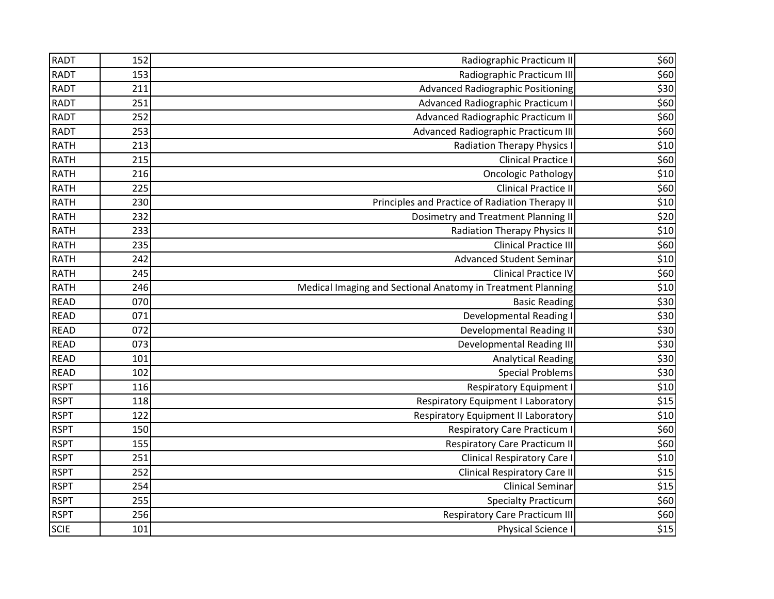| <b>RADT</b> | 152 | Radiographic Practicum II                                   | \$60 |
|-------------|-----|-------------------------------------------------------------|------|
| <b>RADT</b> | 153 | Radiographic Practicum III                                  | \$60 |
| <b>RADT</b> | 211 | <b>Advanced Radiographic Positioning</b>                    | \$30 |
| <b>RADT</b> | 251 | Advanced Radiographic Practicum I                           | \$60 |
| <b>RADT</b> | 252 | Advanced Radiographic Practicum II                          | \$60 |
| <b>RADT</b> | 253 | Advanced Radiographic Practicum III                         | \$60 |
| <b>RATH</b> | 213 | <b>Radiation Therapy Physics I</b>                          | \$10 |
| <b>RATH</b> | 215 | <b>Clinical Practice I</b>                                  | \$60 |
| <b>RATH</b> | 216 | <b>Oncologic Pathology</b>                                  | \$10 |
| <b>RATH</b> | 225 | <b>Clinical Practice II</b>                                 | \$60 |
| <b>RATH</b> | 230 | Principles and Practice of Radiation Therapy II             | \$10 |
| <b>RATH</b> | 232 | Dosimetry and Treatment Planning II                         | \$20 |
| <b>RATH</b> | 233 | <b>Radiation Therapy Physics II</b>                         | \$10 |
| <b>RATH</b> | 235 | <b>Clinical Practice III</b>                                | \$60 |
| <b>RATH</b> | 242 | <b>Advanced Student Seminar</b>                             | \$10 |
| <b>RATH</b> | 245 | <b>Clinical Practice IV</b>                                 | \$60 |
| <b>RATH</b> | 246 | Medical Imaging and Sectional Anatomy in Treatment Planning | \$10 |
| <b>READ</b> | 070 | <b>Basic Reading</b>                                        | \$30 |
| <b>READ</b> | 071 | <b>Developmental Reading I</b>                              | \$30 |
| <b>READ</b> | 072 | <b>Developmental Reading II</b>                             | \$30 |
| <b>READ</b> | 073 | <b>Developmental Reading III</b>                            | \$30 |
| <b>READ</b> | 101 | <b>Analytical Reading</b>                                   | \$30 |
| <b>READ</b> | 102 | <b>Special Problems</b>                                     | \$30 |
| <b>RSPT</b> | 116 | <b>Respiratory Equipment I</b>                              | \$10 |
| <b>RSPT</b> | 118 | Respiratory Equipment I Laboratory                          | \$15 |
| <b>RSPT</b> | 122 | Respiratory Equipment II Laboratory                         | \$10 |
| <b>RSPT</b> | 150 | <b>Respiratory Care Practicum I</b>                         | \$60 |
| <b>RSPT</b> | 155 | <b>Respiratory Care Practicum II</b>                        | \$60 |
| <b>RSPT</b> | 251 | <b>Clinical Respiratory Care I</b>                          | \$10 |
| <b>RSPT</b> | 252 | <b>Clinical Respiratory Care II</b>                         | \$15 |
| <b>RSPT</b> | 254 | <b>Clinical Seminar</b>                                     | \$15 |
| <b>RSPT</b> | 255 | <b>Specialty Practicum</b>                                  | \$60 |
| <b>RSPT</b> | 256 | <b>Respiratory Care Practicum III</b>                       | \$60 |
| <b>SCIE</b> | 101 | Physical Science I                                          | \$15 |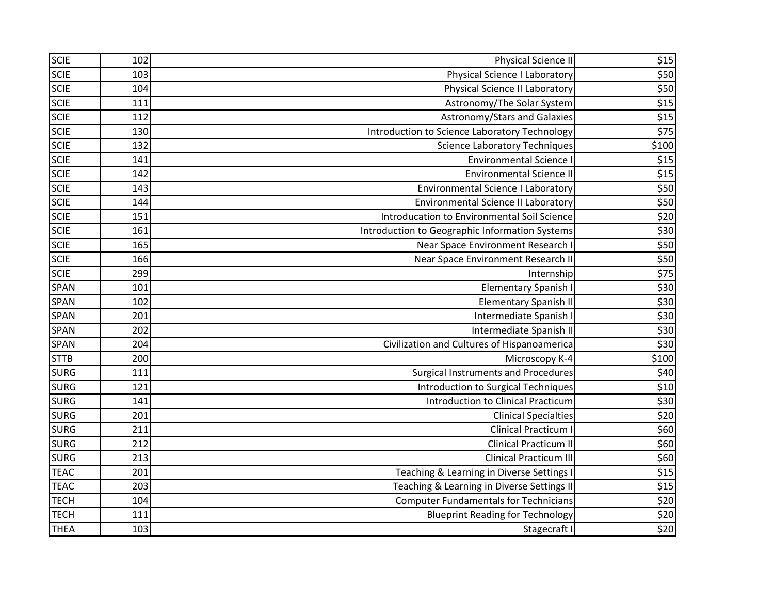| <b>SCIE</b> | 102 | <b>Physical Science II</b>                     | \$15             |
|-------------|-----|------------------------------------------------|------------------|
| <b>SCIE</b> | 103 | <b>Physical Science I Laboratory</b>           | \$50             |
| <b>SCIE</b> | 104 | <b>Physical Science II Laboratory</b>          | \$50             |
| <b>SCIE</b> | 111 | Astronomy/The Solar System                     | \$15             |
| <b>SCIE</b> | 112 | Astronomy/Stars and Galaxies                   | \$15             |
| <b>SCIE</b> | 130 | Introduction to Science Laboratory Technology  | \$75             |
| <b>SCIE</b> | 132 | <b>Science Laboratory Techniques</b>           | \$100            |
| <b>SCIE</b> | 141 | <b>Environmental Science I</b>                 | $$15$            |
| <b>SCIE</b> | 142 | <b>Environmental Science II</b>                | \$15             |
| <b>SCIE</b> | 143 | <b>Environmental Science I Laboratory</b>      | \$50             |
| <b>SCIE</b> | 144 | <b>Environmental Science II Laboratory</b>     | \$50             |
| <b>SCIE</b> | 151 | Introducation to Environmental Soil Science    | \$20             |
| <b>SCIE</b> | 161 | Introduction to Geographic Information Systems | \$30             |
| <b>SCIE</b> | 165 | Near Space Environment Research I              | \$50             |
| <b>SCIE</b> | 166 | Near Space Environment Research II             | \$50             |
| <b>SCIE</b> | 299 | Internship                                     | \$75             |
| <b>SPAN</b> | 101 | <b>Elementary Spanish I</b>                    | \$30             |
| <b>SPAN</b> | 102 | <b>Elementary Spanish II</b>                   | \$30             |
| <b>SPAN</b> | 201 | Intermediate Spanish I                         | \$30             |
| SPAN        | 202 | Intermediate Spanish II                        | \$30             |
| <b>SPAN</b> | 204 | Civilization and Cultures of Hispanoamerica    | \$30             |
| <b>STTB</b> | 200 | Microscopy K-4                                 | \$100            |
| <b>SURG</b> | 111 | <b>Surgical Instruments and Procedures</b>     | \$40             |
| <b>SURG</b> | 121 | Introduction to Surgical Techniques            | \$10             |
| <b>SURG</b> | 141 | Introduction to Clinical Practicum             | \$30             |
| <b>SURG</b> | 201 | <b>Clinical Specialties</b>                    | \$20             |
| <b>SURG</b> | 211 | Clinical Practicum I                           | \$60             |
| <b>SURG</b> | 212 | <b>Clinical Practicum II</b>                   | \$60             |
| <b>SURG</b> | 213 | <b>Clinical Practicum III</b>                  | \$60             |
| <b>TEAC</b> | 201 | Teaching & Learning in Diverse Settings I      | \$15             |
| <b>TEAC</b> | 203 | Teaching & Learning in Diverse Settings II     | \$15             |
| <b>TECH</b> | 104 | <b>Computer Fundamentals for Technicians</b>   | \$20             |
| <b>TECH</b> | 111 | <b>Blueprint Reading for Technology</b>        | \$20             |
| <b>THEA</b> | 103 | Stagecraft I                                   | $\overline{$}20$ |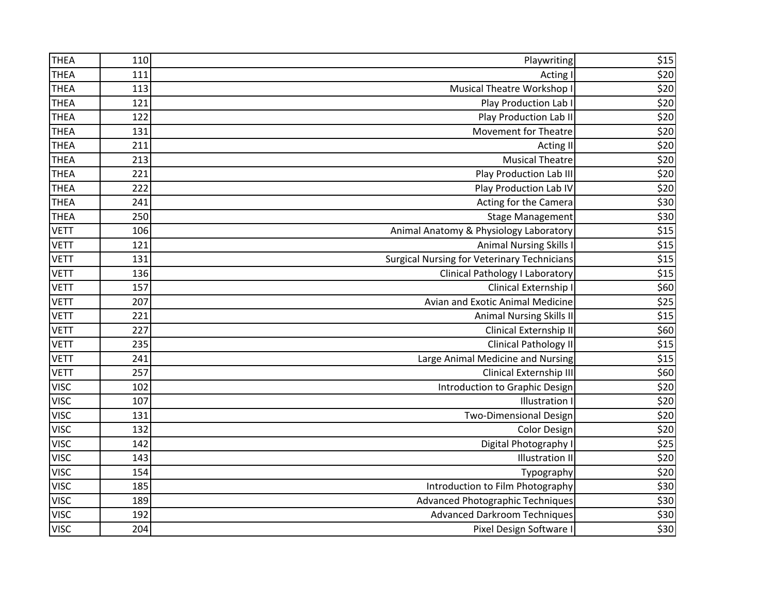| <b>THEA</b> | 110 | Playwriting                                        | \$15             |
|-------------|-----|----------------------------------------------------|------------------|
| <b>THEA</b> | 111 | Acting I                                           | \$20             |
| <b>THEA</b> | 113 | Musical Theatre Workshop I                         | \$20             |
| <b>THEA</b> | 121 | Play Production Lab I                              | \$20             |
| <b>THEA</b> | 122 | Play Production Lab II                             | \$20             |
| <b>THEA</b> | 131 | <b>Movement for Theatre</b>                        | \$20             |
| <b>THEA</b> | 211 | Acting II                                          | \$20             |
| <b>THEA</b> | 213 | <b>Musical Theatre</b>                             | \$20             |
| <b>THEA</b> | 221 | <b>Play Production Lab III</b>                     | \$20             |
| <b>THEA</b> | 222 | Play Production Lab IV                             | \$20             |
| <b>THEA</b> | 241 | Acting for the Camera                              | \$30             |
| <b>THEA</b> | 250 | <b>Stage Management</b>                            | \$30             |
| <b>VETT</b> | 106 | Animal Anatomy & Physiology Laboratory             | \$15             |
| <b>VETT</b> | 121 | <b>Animal Nursing Skills I</b>                     | \$15             |
| <b>VETT</b> | 131 | <b>Surgical Nursing for Veterinary Technicians</b> | \$15             |
| <b>VETT</b> | 136 | <b>Clinical Pathology I Laboratory</b>             | \$15             |
| <b>VETT</b> | 157 | Clinical Externship I                              | \$60             |
| <b>VETT</b> | 207 | Avian and Exotic Animal Medicine                   | $\overline{$}25$ |
| <b>VETT</b> | 221 | <b>Animal Nursing Skills II</b>                    | \$15             |
| <b>VETT</b> | 227 | Clinical Externship II                             | \$60             |
| <b>VETT</b> | 235 | <b>Clinical Pathology II</b>                       | \$15             |
| <b>VETT</b> | 241 | Large Animal Medicine and Nursing                  | \$15             |
| <b>VETT</b> | 257 | Clinical Externship III                            | \$60             |
| <b>VISC</b> | 102 | Introduction to Graphic Design                     | \$20             |
| <b>VISC</b> | 107 | <b>Illustration</b> I                              | \$20             |
| <b>VISC</b> | 131 | <b>Two-Dimensional Design</b>                      | \$20             |
| <b>VISC</b> | 132 | <b>Color Design</b>                                | \$20             |
| <b>VISC</b> | 142 | Digital Photography I                              | $\overline{$}25$ |
| <b>VISC</b> | 143 | <b>Illustration II</b>                             | \$20             |
| <b>VISC</b> | 154 | Typography                                         | \$20             |
| <b>VISC</b> | 185 | Introduction to Film Photography                   | \$30             |
| <b>VISC</b> | 189 | Advanced Photographic Techniques                   | \$30             |
| <b>VISC</b> | 192 | <b>Advanced Darkroom Techniques</b>                | \$30             |
| <b>VISC</b> | 204 | Pixel Design Software I                            | \$30             |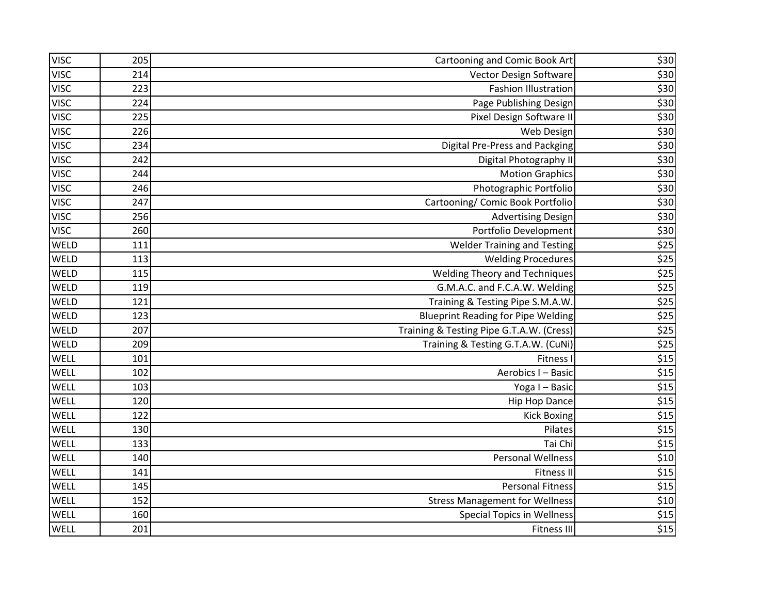| <b>VISC</b> | 205 | Cartooning and Comic Book Art             | \$30  |
|-------------|-----|-------------------------------------------|-------|
| <b>VISC</b> | 214 | Vector Design Software                    | \$30  |
| <b>VISC</b> | 223 | <b>Fashion Illustration</b>               | \$30  |
| <b>VISC</b> | 224 | Page Publishing Design                    | \$30  |
| <b>VISC</b> | 225 | Pixel Design Software II                  | \$30  |
| <b>VISC</b> | 226 | Web Design                                | \$30  |
| <b>VISC</b> | 234 | <b>Digital Pre-Press and Packging</b>     | \$30  |
| <b>VISC</b> | 242 | Digital Photography II                    | \$30  |
| <b>VISC</b> | 244 | <b>Motion Graphics</b>                    | \$30  |
| <b>VISC</b> | 246 | Photographic Portfolio                    | \$30  |
| <b>VISC</b> | 247 | Cartooning/ Comic Book Portfolio          | \$30  |
| <b>VISC</b> | 256 | <b>Advertising Design</b>                 | \$30  |
| <b>VISC</b> | 260 | Portfolio Development                     | \$30  |
| WELD        | 111 | <b>Welder Training and Testing</b>        | \$25  |
| <b>WELD</b> | 113 | <b>Welding Procedures</b>                 | \$25  |
| WELD        | 115 | <b>Welding Theory and Techniques</b>      | \$25  |
| WELD        | 119 | G.M.A.C. and F.C.A.W. Welding             | \$25  |
| <b>WELD</b> | 121 | Training & Testing Pipe S.M.A.W.          | $$25$ |
| WELD        | 123 | <b>Blueprint Reading for Pipe Welding</b> | \$25  |
| WELD        | 207 | Training & Testing Pipe G.T.A.W. (Cress)  | \$25  |
| WELD        | 209 | Training & Testing G.T.A.W. (CuNi)        | \$25  |
| WELL        | 101 | <b>Fitness I</b>                          | \$15  |
| WELL        | 102 | Aerobics I - Basic                        | \$15  |
| WELL        | 103 | Yoga I - Basic                            | \$15  |
| WELL        | 120 | <b>Hip Hop Dance</b>                      | \$15  |
| WELL        | 122 | <b>Kick Boxing</b>                        | \$15  |
| WELL        | 130 | Pilates                                   | \$15  |
| WELL        | 133 | Tai Chi                                   | \$15  |
| <b>WELL</b> | 140 | <b>Personal Wellness</b>                  | $$10$ |
| WELL        | 141 | <b>Fitness II</b>                         | \$15  |
| WELL        | 145 | <b>Personal Fitness</b>                   | \$15  |
| WELL        | 152 | <b>Stress Management for Wellness</b>     | \$10  |
| WELL        | 160 | <b>Special Topics in Wellness</b>         | \$15  |
| WELL        | 201 | <b>Fitness III</b>                        | \$15  |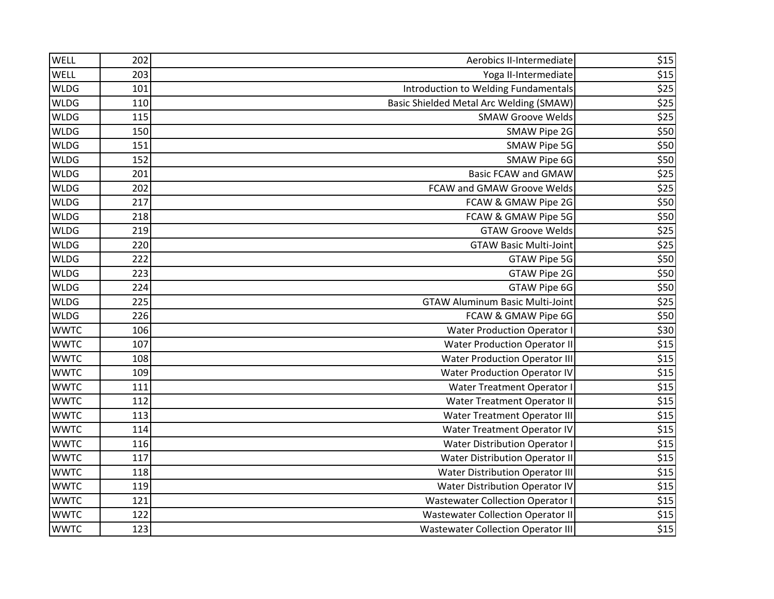| WELL        | 202 | Aerobics II-Intermediate                  | \$15 |
|-------------|-----|-------------------------------------------|------|
| WELL        | 203 | Yoga II-Intermediate                      | \$15 |
| <b>WLDG</b> | 101 | Introduction to Welding Fundamentals      | \$25 |
| <b>WLDG</b> | 110 | Basic Shielded Metal Arc Welding (SMAW)   | \$25 |
| <b>WLDG</b> | 115 | <b>SMAW Groove Welds</b>                  | \$25 |
| <b>WLDG</b> | 150 | SMAW Pipe 2G                              | \$50 |
| <b>WLDG</b> | 151 | SMAW Pipe 5G                              | \$50 |
| <b>WLDG</b> | 152 | SMAW Pipe 6G                              | \$50 |
| <b>WLDG</b> | 201 | <b>Basic FCAW and GMAW</b>                | \$25 |
| <b>WLDG</b> | 202 | FCAW and GMAW Groove Welds                | \$25 |
| <b>WLDG</b> | 217 | FCAW & GMAW Pipe 2G                       | \$50 |
| <b>WLDG</b> | 218 | FCAW & GMAW Pipe 5G                       | \$50 |
| <b>WLDG</b> | 219 | <b>GTAW Groove Welds</b>                  | \$25 |
| <b>WLDG</b> | 220 | <b>GTAW Basic Multi-Joint</b>             | \$25 |
| <b>WLDG</b> | 222 | <b>GTAW Pipe 5G</b>                       | \$50 |
| <b>WLDG</b> | 223 | <b>GTAW Pipe 2G</b>                       | \$50 |
| <b>WLDG</b> | 224 | GTAW Pipe 6G                              | \$50 |
| <b>WLDG</b> | 225 | <b>GTAW Aluminum Basic Multi-Joint</b>    | \$25 |
| <b>WLDG</b> | 226 | FCAW & GMAW Pipe 6G                       | \$50 |
| <b>WWTC</b> | 106 | <b>Water Production Operator I</b>        | \$30 |
| <b>WWTC</b> | 107 | <b>Water Production Operator II</b>       | \$15 |
| <b>WWTC</b> | 108 | <b>Water Production Operator III</b>      | \$15 |
| <b>WWTC</b> | 109 | <b>Water Production Operator IV</b>       | \$15 |
| <b>WWTC</b> | 111 | <b>Water Treatment Operator I</b>         | \$15 |
| <b>WWTC</b> | 112 | Water Treatment Operator II               | \$15 |
| <b>WWTC</b> | 113 | Water Treatment Operator III              | \$15 |
| <b>WWTC</b> | 114 | <b>Water Treatment Operator IV</b>        | \$15 |
| <b>WWTC</b> | 116 | <b>Water Distribution Operator I</b>      | \$15 |
| <b>WWTC</b> | 117 | <b>Water Distribution Operator II</b>     | \$15 |
| <b>WWTC</b> | 118 | <b>Water Distribution Operator III</b>    | \$15 |
| <b>WWTC</b> | 119 | <b>Water Distribution Operator IV</b>     | \$15 |
| <b>WWTC</b> | 121 | <b>Wastewater Collection Operator I</b>   | \$15 |
| <b>WWTC</b> | 122 | <b>Wastewater Collection Operator II</b>  | \$15 |
| <b>WWTC</b> | 123 | <b>Wastewater Collection Operator III</b> | \$15 |